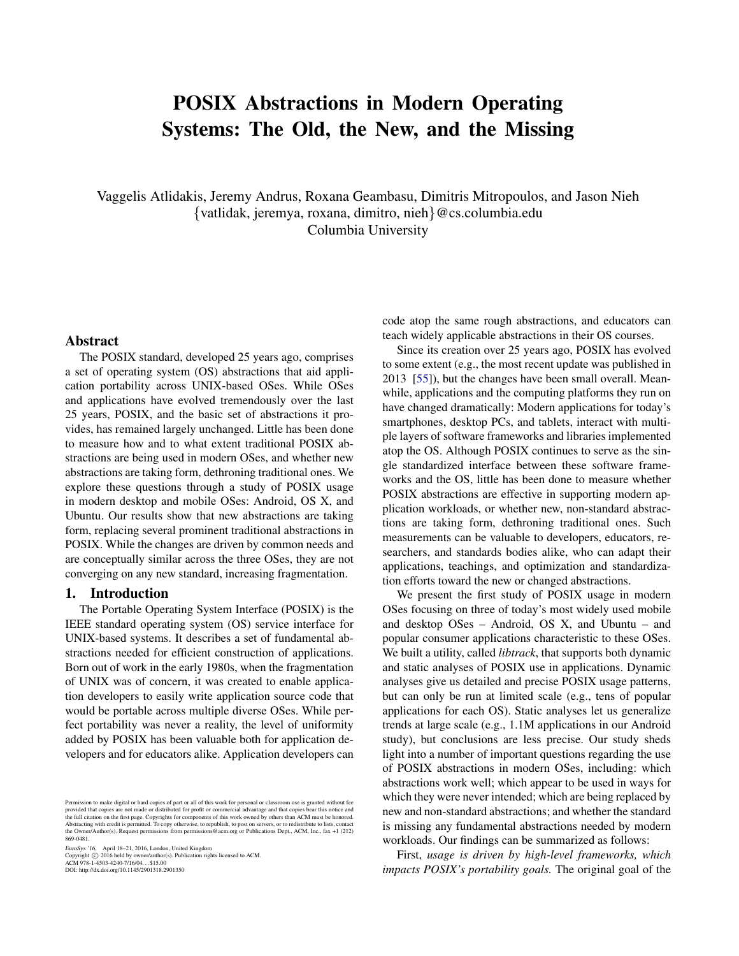# POSIX Abstractions in Modern Operating Systems: The Old, the New, and the Missing

Vaggelis Atlidakis, Jeremy Andrus, Roxana Geambasu, Dimitris Mitropoulos, and Jason Nieh {vatlidak, jeremya, roxana, dimitro, nieh}@cs.columbia.edu Columbia University

# Abstract

The POSIX standard, developed 25 years ago, comprises a set of operating system (OS) abstractions that aid application portability across UNIX-based OSes. While OSes and applications have evolved tremendously over the last 25 years, POSIX, and the basic set of abstractions it provides, has remained largely unchanged. Little has been done to measure how and to what extent traditional POSIX abstractions are being used in modern OSes, and whether new abstractions are taking form, dethroning traditional ones. We explore these questions through a study of POSIX usage in modern desktop and mobile OSes: Android, OS X, and Ubuntu. Our results show that new abstractions are taking form, replacing several prominent traditional abstractions in POSIX. While the changes are driven by common needs and are conceptually similar across the three OSes, they are not converging on any new standard, increasing fragmentation.

# 1. Introduction

The Portable Operating System Interface (POSIX) is the IEEE standard operating system (OS) service interface for UNIX-based systems. It describes a set of fundamental abstractions needed for efficient construction of applications. Born out of work in the early 1980s, when the fragmentation of UNIX was of concern, it was created to enable application developers to easily write application source code that would be portable across multiple diverse OSes. While perfect portability was never a reality, the level of uniformity added by POSIX has been valuable both for application developers and for educators alike. Application developers can

DOI: http://dx.doi.org/10.1145/2901318.2901350

code atop the same rough abstractions, and educators can teach widely applicable abstractions in their OS courses.

Since its creation over 25 years ago, POSIX has evolved to some extent (e.g., the most recent update was published in 2013 [\[55\]](#page-15-0)), but the changes have been small overall. Meanwhile, applications and the computing platforms they run on have changed dramatically: Modern applications for today's smartphones, desktop PCs, and tablets, interact with multiple layers of software frameworks and libraries implemented atop the OS. Although POSIX continues to serve as the single standardized interface between these software frameworks and the OS, little has been done to measure whether POSIX abstractions are effective in supporting modern application workloads, or whether new, non-standard abstractions are taking form, dethroning traditional ones. Such measurements can be valuable to developers, educators, researchers, and standards bodies alike, who can adapt their applications, teachings, and optimization and standardization efforts toward the new or changed abstractions.

We present the first study of POSIX usage in modern OSes focusing on three of today's most widely used mobile and desktop OSes – Android, OS X, and Ubuntu – and popular consumer applications characteristic to these OSes. We built a utility, called *libtrack*, that supports both dynamic and static analyses of POSIX use in applications. Dynamic analyses give us detailed and precise POSIX usage patterns, but can only be run at limited scale (e.g., tens of popular applications for each OS). Static analyses let us generalize trends at large scale (e.g., 1.1M applications in our Android study), but conclusions are less precise. Our study sheds light into a number of important questions regarding the use of POSIX abstractions in modern OSes, including: which abstractions work well; which appear to be used in ways for which they were never intended; which are being replaced by new and non-standard abstractions; and whether the standard is missing any fundamental abstractions needed by modern workloads. Our findings can be summarized as follows:

First, *usage is driven by high-level frameworks, which impacts POSIX's portability goals.* The original goal of the

on to make digital or hard copies of part or all of this work for personal or classroom use is granted without fee provided that copies are not made or distributed for profit or commercial advantage and that copies bear this notice and<br>the full citation on the first page. Copyrights for components of this work owned by others than ACM 869-0481.

EuroSys '16, April 18–21, 2016, London, United Kingdom Copyright c 2016 held by owner/author(s). Publication rights licensed to ACM. ACM 978-1-4503-4240-7/16/04. . . \$15.00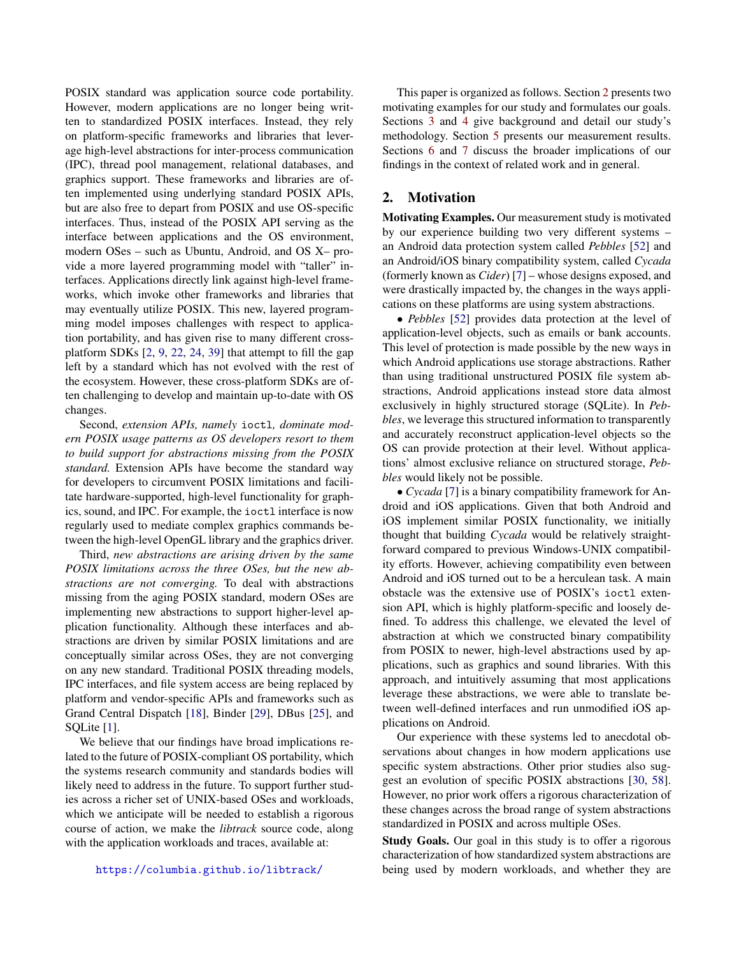POSIX standard was application source code portability. However, modern applications are no longer being written to standardized POSIX interfaces. Instead, they rely on platform-specific frameworks and libraries that leverage high-level abstractions for inter-process communication (IPC), thread pool management, relational databases, and graphics support. These frameworks and libraries are often implemented using underlying standard POSIX APIs, but are also free to depart from POSIX and use OS-specific interfaces. Thus, instead of the POSIX API serving as the interface between applications and the OS environment, modern OSes – such as Ubuntu, Android, and OS X– provide a more layered programming model with "taller" interfaces. Applications directly link against high-level frameworks, which invoke other frameworks and libraries that may eventually utilize POSIX. This new, layered programming model imposes challenges with respect to application portability, and has given rise to many different crossplatform SDKs [\[2,](#page-14-0) [9,](#page-14-1) [22,](#page-14-2) [24,](#page-14-3) [39\]](#page-15-1) that attempt to fill the gap left by a standard which has not evolved with the rest of the ecosystem. However, these cross-platform SDKs are often challenging to develop and maintain up-to-date with OS changes.

Second, *extension APIs, namely* ioctl*, dominate modern POSIX usage patterns as OS developers resort to them to build support for abstractions missing from the POSIX standard.* Extension APIs have become the standard way for developers to circumvent POSIX limitations and facilitate hardware-supported, high-level functionality for graphics, sound, and IPC. For example, the ioctl interface is now regularly used to mediate complex graphics commands between the high-level OpenGL library and the graphics driver.

Third, *new abstractions are arising driven by the same POSIX limitations across the three OSes, but the new abstractions are not converging.* To deal with abstractions missing from the aging POSIX standard, modern OSes are implementing new abstractions to support higher-level application functionality. Although these interfaces and abstractions are driven by similar POSIX limitations and are conceptually similar across OSes, they are not converging on any new standard. Traditional POSIX threading models, IPC interfaces, and file system access are being replaced by platform and vendor-specific APIs and frameworks such as Grand Central Dispatch [\[18\]](#page-14-4), Binder [\[29\]](#page-14-5), DBus [\[25\]](#page-14-6), and SQLite [\[1\]](#page-14-7).

We believe that our findings have broad implications related to the future of POSIX-compliant OS portability, which the systems research community and standards bodies will likely need to address in the future. To support further studies across a richer set of UNIX-based OSes and workloads, which we anticipate will be needed to establish a rigorous course of action, we make the *libtrack* source code, along with the application workloads and traces, available at:

<https://columbia.github.io/libtrack/>

This paper is organized as follows. Section [2](#page-1-0) presents two motivating examples for our study and formulates our goals. Sections [3](#page-2-0) and [4](#page-3-0) give background and detail our study's methodology. Section [5](#page-4-0) presents our measurement results. Sections [6](#page-12-0) and [7](#page-13-0) discuss the broader implications of our findings in the context of related work and in general.

# <span id="page-1-0"></span>2. Motivation

Motivating Examples. Our measurement study is motivated by our experience building two very different systems – an Android data protection system called *Pebbles* [\[52\]](#page-15-2) and an Android/iOS binary compatibility system, called *Cycada* (formerly known as *Cider*) [\[7\]](#page-14-8) – whose designs exposed, and were drastically impacted by, the changes in the ways applications on these platforms are using system abstractions.

• *Pebbles* [\[52\]](#page-15-2) provides data protection at the level of application-level objects, such as emails or bank accounts. This level of protection is made possible by the new ways in which Android applications use storage abstractions. Rather than using traditional unstructured POSIX file system abstractions, Android applications instead store data almost exclusively in highly structured storage (SQLite). In *Pebbles*, we leverage this structured information to transparently and accurately reconstruct application-level objects so the OS can provide protection at their level. Without applications' almost exclusive reliance on structured storage, *Pebbles* would likely not be possible.

• *Cycada* [\[7\]](#page-14-8) is a binary compatibility framework for Android and iOS applications. Given that both Android and iOS implement similar POSIX functionality, we initially thought that building *Cycada* would be relatively straightforward compared to previous Windows-UNIX compatibility efforts. However, achieving compatibility even between Android and iOS turned out to be a herculean task. A main obstacle was the extensive use of POSIX's ioctl extension API, which is highly platform-specific and loosely defined. To address this challenge, we elevated the level of abstraction at which we constructed binary compatibility from POSIX to newer, high-level abstractions used by applications, such as graphics and sound libraries. With this approach, and intuitively assuming that most applications leverage these abstractions, we were able to translate between well-defined interfaces and run unmodified iOS applications on Android.

Our experience with these systems led to anecdotal observations about changes in how modern applications use specific system abstractions. Other prior studies also suggest an evolution of specific POSIX abstractions [\[30,](#page-14-9) [58\]](#page-15-3). However, no prior work offers a rigorous characterization of these changes across the broad range of system abstractions standardized in POSIX and across multiple OSes.

Study Goals. Our goal in this study is to offer a rigorous characterization of how standardized system abstractions are being used by modern workloads, and whether they are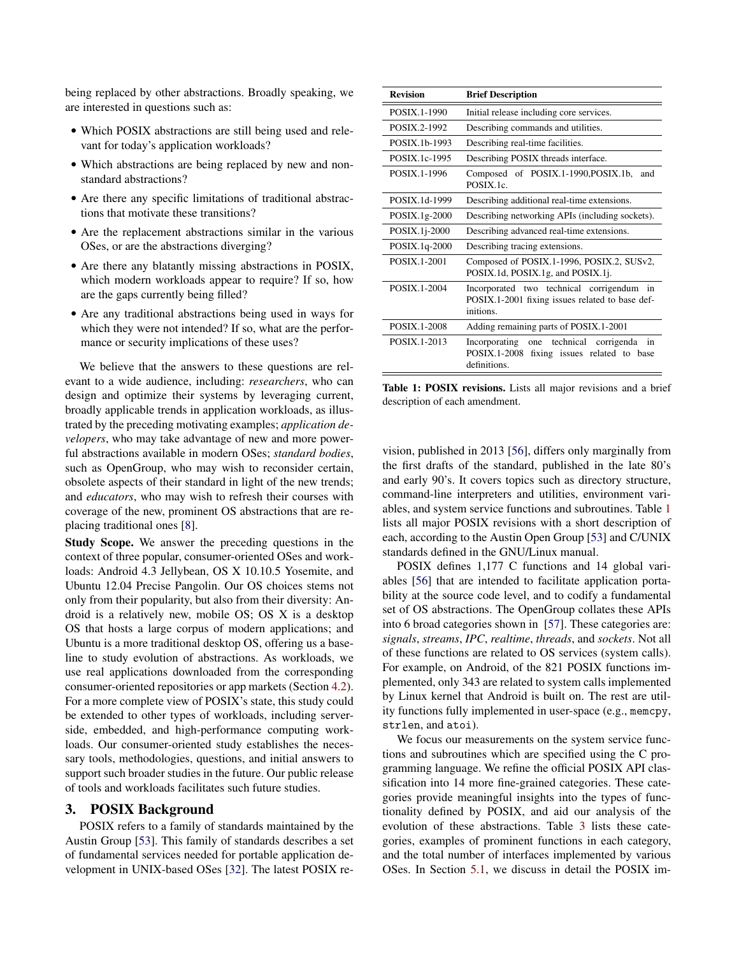being replaced by other abstractions. Broadly speaking, we are interested in questions such as:

- Which POSIX abstractions are still being used and relevant for today's application workloads?
- Which abstractions are being replaced by new and nonstandard abstractions?
- Are there any specific limitations of traditional abstractions that motivate these transitions?
- Are the replacement abstractions similar in the various OSes, or are the abstractions diverging?
- Are there any blatantly missing abstractions in POSIX, which modern workloads appear to require? If so, how are the gaps currently being filled?
- Are any traditional abstractions being used in ways for which they were not intended? If so, what are the performance or security implications of these uses?

We believe that the answers to these questions are relevant to a wide audience, including: *researchers*, who can design and optimize their systems by leveraging current, broadly applicable trends in application workloads, as illustrated by the preceding motivating examples; *application developers*, who may take advantage of new and more powerful abstractions available in modern OSes; *standard bodies*, such as OpenGroup, who may wish to reconsider certain, obsolete aspects of their standard in light of the new trends; and *educators*, who may wish to refresh their courses with coverage of the new, prominent OS abstractions that are replacing traditional ones [\[8\]](#page-14-10).

Study Scope. We answer the preceding questions in the context of three popular, consumer-oriented OSes and workloads: Android 4.3 Jellybean, OS X 10.10.5 Yosemite, and Ubuntu 12.04 Precise Pangolin. Our OS choices stems not only from their popularity, but also from their diversity: Android is a relatively new, mobile OS; OS X is a desktop OS that hosts a large corpus of modern applications; and Ubuntu is a more traditional desktop OS, offering us a baseline to study evolution of abstractions. As workloads, we use real applications downloaded from the corresponding consumer-oriented repositories or app markets (Section [4.2\)](#page-4-1). For a more complete view of POSIX's state, this study could be extended to other types of workloads, including serverside, embedded, and high-performance computing workloads. Our consumer-oriented study establishes the necessary tools, methodologies, questions, and initial answers to support such broader studies in the future. Our public release of tools and workloads facilitates such future studies.

# <span id="page-2-0"></span>3. POSIX Background

POSIX refers to a family of standards maintained by the Austin Group [\[53\]](#page-15-4). This family of standards describes a set of fundamental services needed for portable application development in UNIX-based OSes [\[32\]](#page-15-5). The latest POSIX re-

<span id="page-2-1"></span>

| <b>Revision</b>      | <b>Brief Description</b>                                                                                  |  |  |  |  |  |  |  |
|----------------------|-----------------------------------------------------------------------------------------------------------|--|--|--|--|--|--|--|
| <b>POSIX 1-1990</b>  | Initial release including core services.                                                                  |  |  |  |  |  |  |  |
| POSIX.2-1992         | Describing commands and utilities.                                                                        |  |  |  |  |  |  |  |
| <b>POSIX 1b-1993</b> | Describing real-time facilities.                                                                          |  |  |  |  |  |  |  |
| POSIX 1c-1995        | Describing POSIX threads interface.                                                                       |  |  |  |  |  |  |  |
| POSIX.1-1996         | Composed of POSIX.1-1990.POSIX.1b,<br>and<br>POSIX.1c.                                                    |  |  |  |  |  |  |  |
| POSIX.1d-1999        | Describing additional real-time extensions.                                                               |  |  |  |  |  |  |  |
| POSIX.1g-2000        | Describing networking APIs (including sockets).                                                           |  |  |  |  |  |  |  |
| POSIX.1j-2000        | Describing advanced real-time extensions.                                                                 |  |  |  |  |  |  |  |
| POSIX.1q-2000        | Describing tracing extensions.                                                                            |  |  |  |  |  |  |  |
| POSIX.1-2001         | Composed of POSIX.1-1996, POSIX.2, SUSv2,<br>POSIX.1d, POSIX.1g, and POSIX.1j.                            |  |  |  |  |  |  |  |
| POSIX.1-2004         | Incorporated two technical corrigendum in<br>POSIX.1-2001 fixing issues related to base def-<br>initions. |  |  |  |  |  |  |  |
| POSIX.1-2008         | Adding remaining parts of POSIX.1-2001                                                                    |  |  |  |  |  |  |  |
| POSIX.1-2013         | Incorporating one technical corrigenda in<br>POSIX.1-2008 fixing issues related to base<br>definitions.   |  |  |  |  |  |  |  |

Table 1: POSIX revisions. Lists all major revisions and a brief description of each amendment.

vision, published in 2013 [\[56\]](#page-15-6), differs only marginally from the first drafts of the standard, published in the late 80's and early 90's. It covers topics such as directory structure, command-line interpreters and utilities, environment variables, and system service functions and subroutines. Table [1](#page-2-1) lists all major POSIX revisions with a short description of each, according to the Austin Open Group [\[53\]](#page-15-4) and C/UNIX standards defined in the GNU/Linux manual.

POSIX defines 1,177 C functions and 14 global variables [\[56\]](#page-15-6) that are intended to facilitate application portability at the source code level, and to codify a fundamental set of OS abstractions. The OpenGroup collates these APIs into 6 broad categories shown in [\[57\]](#page-15-7). These categories are: *signals*, *streams*, *IPC*, *realtime*, *threads*, and *sockets*. Not all of these functions are related to OS services (system calls). For example, on Android, of the 821 POSIX functions implemented, only 343 are related to system calls implemented by Linux kernel that Android is built on. The rest are utility functions fully implemented in user-space (e.g., memcpy, strlen, and atoi).

We focus our measurements on the system service functions and subroutines which are specified using the C programming language. We refine the official POSIX API classification into 14 more fine-grained categories. These categories provide meaningful insights into the types of functionality defined by POSIX, and aid our analysis of the evolution of these abstractions. Table [3](#page-5-0) lists these categories, examples of prominent functions in each category, and the total number of interfaces implemented by various OSes. In Section [5.1,](#page-4-2) we discuss in detail the POSIX im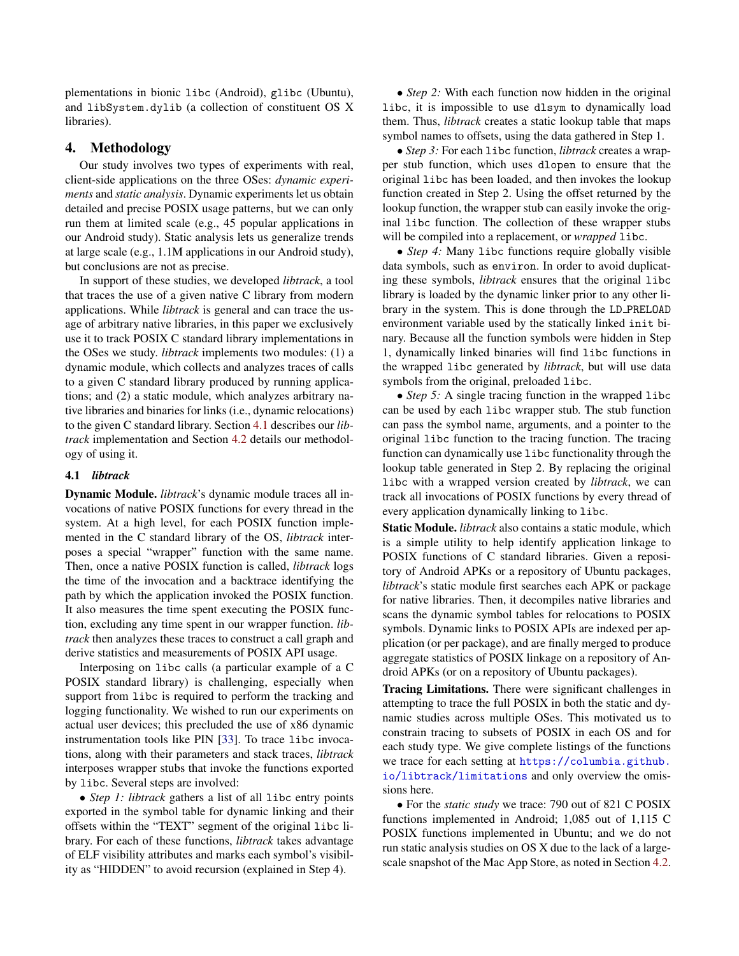plementations in bionic libc (Android), glibc (Ubuntu), and libSystem.dylib (a collection of constituent OS X libraries).

## <span id="page-3-0"></span>4. Methodology

Our study involves two types of experiments with real, client-side applications on the three OSes: *dynamic experiments* and *static analysis*. Dynamic experiments let us obtain detailed and precise POSIX usage patterns, but we can only run them at limited scale (e.g., 45 popular applications in our Android study). Static analysis lets us generalize trends at large scale (e.g., 1.1M applications in our Android study), but conclusions are not as precise.

In support of these studies, we developed *libtrack*, a tool that traces the use of a given native C library from modern applications. While *libtrack* is general and can trace the usage of arbitrary native libraries, in this paper we exclusively use it to track POSIX C standard library implementations in the OSes we study. *libtrack* implements two modules: (1) a dynamic module, which collects and analyzes traces of calls to a given C standard library produced by running applications; and (2) a static module, which analyzes arbitrary native libraries and binaries for links (i.e., dynamic relocations) to the given C standard library. Section [4.1](#page-3-1) describes our *libtrack* implementation and Section [4.2](#page-4-1) details our methodology of using it.

## <span id="page-3-1"></span>4.1 *libtrack*

Dynamic Module. *libtrack*'s dynamic module traces all invocations of native POSIX functions for every thread in the system. At a high level, for each POSIX function implemented in the C standard library of the OS, *libtrack* interposes a special "wrapper" function with the same name. Then, once a native POSIX function is called, *libtrack* logs the time of the invocation and a backtrace identifying the path by which the application invoked the POSIX function. It also measures the time spent executing the POSIX function, excluding any time spent in our wrapper function. *libtrack* then analyzes these traces to construct a call graph and derive statistics and measurements of POSIX API usage.

Interposing on libc calls (a particular example of a C POSIX standard library) is challenging, especially when support from libc is required to perform the tracking and logging functionality. We wished to run our experiments on actual user devices; this precluded the use of x86 dynamic instrumentation tools like PIN [\[33\]](#page-15-8). To trace libc invocations, along with their parameters and stack traces, *libtrack* interposes wrapper stubs that invoke the functions exported by libc. Several steps are involved:

• *Step 1: libtrack* gathers a list of all libc entry points exported in the symbol table for dynamic linking and their offsets within the "TEXT" segment of the original libc library. For each of these functions, *libtrack* takes advantage of ELF visibility attributes and marks each symbol's visibility as "HIDDEN" to avoid recursion (explained in Step 4).

• *Step 2:* With each function now hidden in the original libc, it is impossible to use dlsym to dynamically load them. Thus, *libtrack* creates a static lookup table that maps symbol names to offsets, using the data gathered in Step 1.

• *Step 3:* For each libc function, *libtrack* creates a wrapper stub function, which uses dlopen to ensure that the original libc has been loaded, and then invokes the lookup function created in Step 2. Using the offset returned by the lookup function, the wrapper stub can easily invoke the original libc function. The collection of these wrapper stubs will be compiled into a replacement, or *wrapped* libc.

• *Step 4:* Many libc functions require globally visible data symbols, such as environ. In order to avoid duplicating these symbols, *libtrack* ensures that the original libc library is loaded by the dynamic linker prior to any other library in the system. This is done through the LD PRELOAD environment variable used by the statically linked init binary. Because all the function symbols were hidden in Step 1, dynamically linked binaries will find libc functions in the wrapped libc generated by *libtrack*, but will use data symbols from the original, preloaded libc.

• *Step 5:* A single tracing function in the wrapped libc can be used by each libc wrapper stub. The stub function can pass the symbol name, arguments, and a pointer to the original libc function to the tracing function. The tracing function can dynamically use libc functionality through the lookup table generated in Step 2. By replacing the original libc with a wrapped version created by *libtrack*, we can track all invocations of POSIX functions by every thread of every application dynamically linking to libc.

Static Module. *libtrack* also contains a static module, which is a simple utility to help identify application linkage to POSIX functions of C standard libraries. Given a repository of Android APKs or a repository of Ubuntu packages, *libtrack*'s static module first searches each APK or package for native libraries. Then, it decompiles native libraries and scans the dynamic symbol tables for relocations to POSIX symbols. Dynamic links to POSIX APIs are indexed per application (or per package), and are finally merged to produce aggregate statistics of POSIX linkage on a repository of Android APKs (or on a repository of Ubuntu packages).

Tracing Limitations. There were significant challenges in attempting to trace the full POSIX in both the static and dynamic studies across multiple OSes. This motivated us to constrain tracing to subsets of POSIX in each OS and for each study type. We give complete listings of the functions we trace for each setting at [https://columbia.github.](https://columbia.github.io/libtrack/limitations) [io/libtrack/limitations](https://columbia.github.io/libtrack/limitations) and only overview the omissions here.

• For the *static study* we trace: 790 out of 821 C POSIX functions implemented in Android; 1,085 out of 1,115 C POSIX functions implemented in Ubuntu; and we do not run static analysis studies on OS X due to the lack of a largescale snapshot of the Mac App Store, as noted in Section [4.2.](#page-4-1)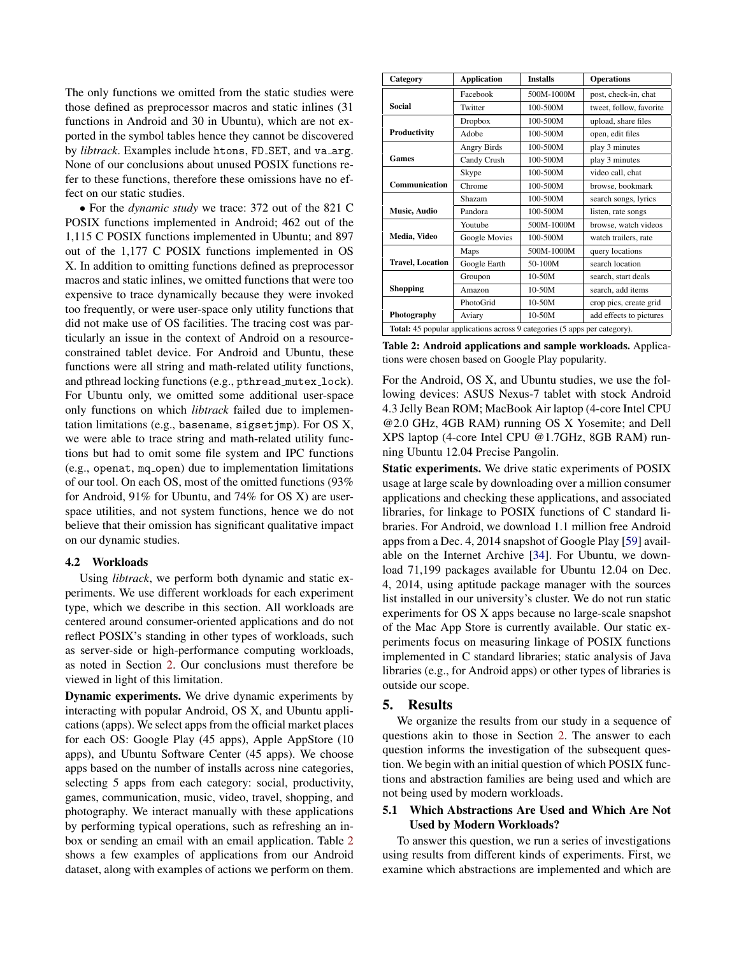The only functions we omitted from the static studies were those defined as preprocessor macros and static inlines (31 functions in Android and 30 in Ubuntu), which are not exported in the symbol tables hence they cannot be discovered by *libtrack*. Examples include htons, FD\_SET, and va\_arg. None of our conclusions about unused POSIX functions refer to these functions, therefore these omissions have no effect on our static studies.

• For the *dynamic study* we trace: 372 out of the 821 C POSIX functions implemented in Android; 462 out of the 1,115 C POSIX functions implemented in Ubuntu; and 897 out of the 1,177 C POSIX functions implemented in OS X. In addition to omitting functions defined as preprocessor macros and static inlines, we omitted functions that were too expensive to trace dynamically because they were invoked too frequently, or were user-space only utility functions that did not make use of OS facilities. The tracing cost was particularly an issue in the context of Android on a resourceconstrained tablet device. For Android and Ubuntu, these functions were all string and math-related utility functions, and pthread locking functions (e.g., pthread mutex lock). For Ubuntu only, we omitted some additional user-space only functions on which *libtrack* failed due to implementation limitations (e.g., basename, sigsetjmp). For OS X, we were able to trace string and math-related utility functions but had to omit some file system and IPC functions (e.g., openat, mq open) due to implementation limitations of our tool. On each OS, most of the omitted functions (93% for Android, 91% for Ubuntu, and 74% for OS X) are userspace utilities, and not system functions, hence we do not believe that their omission has significant qualitative impact on our dynamic studies.

## <span id="page-4-1"></span>4.2 Workloads

Using *libtrack*, we perform both dynamic and static experiments. We use different workloads for each experiment type, which we describe in this section. All workloads are centered around consumer-oriented applications and do not reflect POSIX's standing in other types of workloads, such as server-side or high-performance computing workloads, as noted in Section [2.](#page-1-0) Our conclusions must therefore be viewed in light of this limitation.

Dynamic experiments. We drive dynamic experiments by interacting with popular Android, OS X, and Ubuntu applications (apps). We select apps from the official market places for each OS: Google Play (45 apps), Apple AppStore (10 apps), and Ubuntu Software Center (45 apps). We choose apps based on the number of installs across nine categories, selecting 5 apps from each category: social, productivity, games, communication, music, video, travel, shopping, and photography. We interact manually with these applications by performing typical operations, such as refreshing an inbox or sending an email with an email application. Table [2](#page-4-3) shows a few examples of applications from our Android dataset, along with examples of actions we perform on them.

<span id="page-4-3"></span>

| Category                                                                         | <b>Application</b> | <b>Installs</b> | <b>Operations</b>       |  |  |  |  |  |
|----------------------------------------------------------------------------------|--------------------|-----------------|-------------------------|--|--|--|--|--|
|                                                                                  | Facebook           | 500M-1000M      | post, check-in, chat    |  |  |  |  |  |
| <b>Social</b>                                                                    | Twitter            | 100-500M        | tweet, follow, favorite |  |  |  |  |  |
|                                                                                  | Dropbox            | 100-500M        | upload, share files     |  |  |  |  |  |
| Productivity                                                                     | Adobe              | 100-500M        | open, edit files        |  |  |  |  |  |
|                                                                                  | Angry Birds        | 100-500M        | play 3 minutes          |  |  |  |  |  |
| Games                                                                            | Candy Crush        | 100-500M        | play 3 minutes          |  |  |  |  |  |
|                                                                                  | Skype              | 100-500M        | video call, chat        |  |  |  |  |  |
| <b>Communication</b>                                                             | Chrome             | 100-500M        | browse, bookmark        |  |  |  |  |  |
|                                                                                  | Shazam             | 100-500M        | search songs, lyrics    |  |  |  |  |  |
| Music, Audio                                                                     | Pandora            | 100-500M        | listen, rate songs      |  |  |  |  |  |
|                                                                                  | Youtube            | 500M-1000M      | browse, watch videos    |  |  |  |  |  |
| Media, Video                                                                     | Google Movies      | 100-500M        | watch trailers, rate    |  |  |  |  |  |
|                                                                                  | Maps               | 500M-1000M      | query locations         |  |  |  |  |  |
| <b>Travel, Location</b>                                                          | Google Earth       | 50-100M         | search location         |  |  |  |  |  |
|                                                                                  | Groupon            | $10-50M$        | search, start deals     |  |  |  |  |  |
| <b>Shopping</b>                                                                  | Amazon             | $10-50M$        | search, add items       |  |  |  |  |  |
|                                                                                  | PhotoGrid          | $10-50M$        | crop pics, create grid  |  |  |  |  |  |
| Photography                                                                      | Aviary             | $10-50M$        | add effects to pictures |  |  |  |  |  |
| <b>Total:</b> 45 popular applications across 9 categories (5 apps per category). |                    |                 |                         |  |  |  |  |  |

Table 2: Android applications and sample workloads. Applications were chosen based on Google Play popularity.

For the Android, OS X, and Ubuntu studies, we use the following devices: ASUS Nexus-7 tablet with stock Android 4.3 Jelly Bean ROM; MacBook Air laptop (4-core Intel CPU @2.0 GHz, 4GB RAM) running OS X Yosemite; and Dell XPS laptop (4-core Intel CPU @1.7GHz, 8GB RAM) running Ubuntu 12.04 Precise Pangolin.

Static experiments. We drive static experiments of POSIX usage at large scale by downloading over a million consumer applications and checking these applications, and associated libraries, for linkage to POSIX functions of C standard libraries. For Android, we download 1.1 million free Android apps from a Dec. 4, 2014 snapshot of Google Play [\[59\]](#page-15-9) available on the Internet Archive [\[34\]](#page-15-10). For Ubuntu, we download 71,199 packages available for Ubuntu 12.04 on Dec. 4, 2014, using aptitude package manager with the sources list installed in our university's cluster. We do not run static experiments for OS X apps because no large-scale snapshot of the Mac App Store is currently available. Our static experiments focus on measuring linkage of POSIX functions implemented in C standard libraries; static analysis of Java libraries (e.g., for Android apps) or other types of libraries is outside our scope.

## <span id="page-4-0"></span>5. Results

We organize the results from our study in a sequence of questions akin to those in Section [2.](#page-1-0) The answer to each question informs the investigation of the subsequent question. We begin with an initial question of which POSIX functions and abstraction families are being used and which are not being used by modern workloads.

# <span id="page-4-2"></span>5.1 Which Abstractions Are Used and Which Are Not Used by Modern Workloads?

To answer this question, we run a series of investigations using results from different kinds of experiments. First, we examine which abstractions are implemented and which are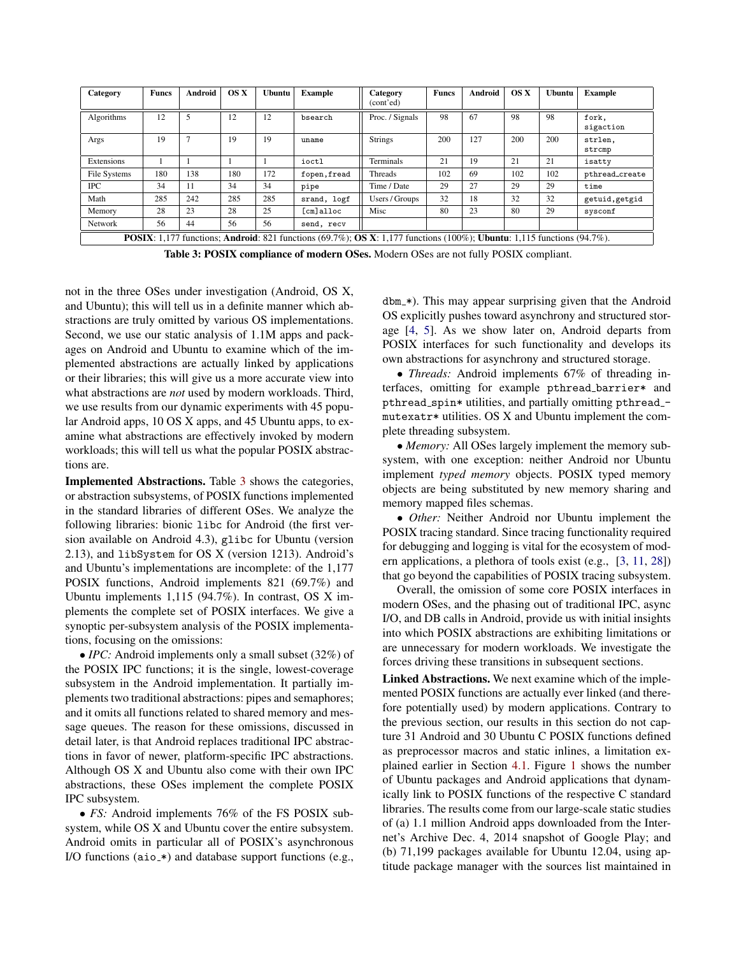<span id="page-5-0"></span>

| Category                                                                                                                                               | <b>Funcs</b> | <b>Android</b> | <b>OS X</b> | <b>Ubuntu</b> | <b>Example</b> | Category<br>(cont'ed) | <b>Funcs</b> | Android | <b>OS X</b> | <b>Ubuntu</b> | <b>Example</b>     |
|--------------------------------------------------------------------------------------------------------------------------------------------------------|--------------|----------------|-------------|---------------|----------------|-----------------------|--------------|---------|-------------|---------------|--------------------|
| Algorithms                                                                                                                                             | 12           |                | 12          | 12            | bsearch        | Proc. / Signals       | 98           | 67      | 98          | 98            | fork,<br>sigaction |
| Args                                                                                                                                                   | 19           |                | 19          | 19            | uname          | <b>Strings</b>        | 200          | 127     | 200         | 200           | strlen,<br>strcmp  |
| Extensions                                                                                                                                             |              |                |             |               | ioctl          | Terminals             | 21           | 19      | 21          | 21            | isatty             |
| File Systems                                                                                                                                           | 180          | 138            | 180         | 172           | fopen, fread   | <b>Threads</b>        | 102          | 69      | 102         | 102           | pthread_create     |
| <b>IPC</b>                                                                                                                                             | 34           | 11             | 34          | 34            | pipe           | Time / Date           | 29           | 27      | 29          | 29            | time               |
| Math                                                                                                                                                   | 285          | 242            | 285         | 285           | srand, logf    | <b>Users / Groups</b> | 32           | 18      | 32          | 32            | getuid, getgid     |
| Memory                                                                                                                                                 | 28           | 23             | 28          | 25            | $[cm]$ alloc   | Misc                  | 80           | 23      | 80          | 29            | sysconf            |
| Network                                                                                                                                                | 56           | 44             | 56          | 56            | send, recv     |                       |              |         |             |               |                    |
| <b>POSIX</b> : 1,177 functions; <b>Android</b> : 821 functions (69.7%); <b>OS X</b> : 1,177 functions (100%); <b>Ubuntu</b> : 1,115 functions (94.7%). |              |                |             |               |                |                       |              |         |             |               |                    |

Table 3: POSIX compliance of modern OSes. Modern OSes are not fully POSIX compliant.

not in the three OSes under investigation (Android, OS X, and Ubuntu); this will tell us in a definite manner which abstractions are truly omitted by various OS implementations. Second, we use our static analysis of 1.1M apps and packages on Android and Ubuntu to examine which of the implemented abstractions are actually linked by applications or their libraries; this will give us a more accurate view into what abstractions are *not* used by modern workloads. Third, we use results from our dynamic experiments with 45 popular Android apps, 10 OS X apps, and 45 Ubuntu apps, to examine what abstractions are effectively invoked by modern workloads; this will tell us what the popular POSIX abstractions are.

Implemented Abstractions. Table [3](#page-5-0) shows the categories, or abstraction subsystems, of POSIX functions implemented in the standard libraries of different OSes. We analyze the following libraries: bionic libc for Android (the first version available on Android 4.3), glibc for Ubuntu (version 2.13), and libSystem for OS X (version 1213). Android's and Ubuntu's implementations are incomplete: of the 1,177 POSIX functions, Android implements 821 (69.7%) and Ubuntu implements 1,115 (94.7%). In contrast, OS X implements the complete set of POSIX interfaces. We give a synoptic per-subsystem analysis of the POSIX implementations, focusing on the omissions:

• *IPC*: Android implements only a small subset (32%) of the POSIX IPC functions; it is the single, lowest-coverage subsystem in the Android implementation. It partially implements two traditional abstractions: pipes and semaphores; and it omits all functions related to shared memory and message queues. The reason for these omissions, discussed in detail later, is that Android replaces traditional IPC abstractions in favor of newer, platform-specific IPC abstractions. Although OS X and Ubuntu also come with their own IPC abstractions, these OSes implement the complete POSIX IPC subsystem.

• *FS:* Android implements 76% of the FS POSIX subsystem, while OS X and Ubuntu cover the entire subsystem. Android omits in particular all of POSIX's asynchronous I/O functions ( $aio$ ) and database support functions (e.g.,

dbm \*). This may appear surprising given that the Android OS explicitly pushes toward asynchrony and structured storage [\[4,](#page-14-11) [5\]](#page-14-12). As we show later on, Android departs from POSIX interfaces for such functionality and develops its own abstractions for asynchrony and structured storage.

• *Threads:* Android implements 67% of threading interfaces, omitting for example pthread barrier\* and pthread\_spin\* utilities, and partially omitting pthread\_ $m$ utexatr $*$  utilities. OS X and Ubuntu implement the complete threading subsystem.

• *Memory:* All OSes largely implement the memory subsystem, with one exception: neither Android nor Ubuntu implement *typed memory* objects. POSIX typed memory objects are being substituted by new memory sharing and memory mapped files schemas.

• *Other:* Neither Android nor Ubuntu implement the POSIX tracing standard. Since tracing functionality required for debugging and logging is vital for the ecosystem of modern applications, a plethora of tools exist (e.g., [\[3,](#page-14-13) [11,](#page-14-14) [28\]](#page-14-15)) that go beyond the capabilities of POSIX tracing subsystem.

Overall, the omission of some core POSIX interfaces in modern OSes, and the phasing out of traditional IPC, async I/O, and DB calls in Android, provide us with initial insights into which POSIX abstractions are exhibiting limitations or are unnecessary for modern workloads. We investigate the forces driving these transitions in subsequent sections.

Linked Abstractions. We next examine which of the implemented POSIX functions are actually ever linked (and therefore potentially used) by modern applications. Contrary to the previous section, our results in this section do not capture 31 Android and 30 Ubuntu C POSIX functions defined as preprocessor macros and static inlines, a limitation explained earlier in Section [4.1.](#page-3-1) Figure [1](#page-6-0) shows the number of Ubuntu packages and Android applications that dynamically link to POSIX functions of the respective C standard libraries. The results come from our large-scale static studies of (a) 1.1 million Android apps downloaded from the Internet's Archive Dec. 4, 2014 snapshot of Google Play; and (b) 71,199 packages available for Ubuntu 12.04, using aptitude package manager with the sources list maintained in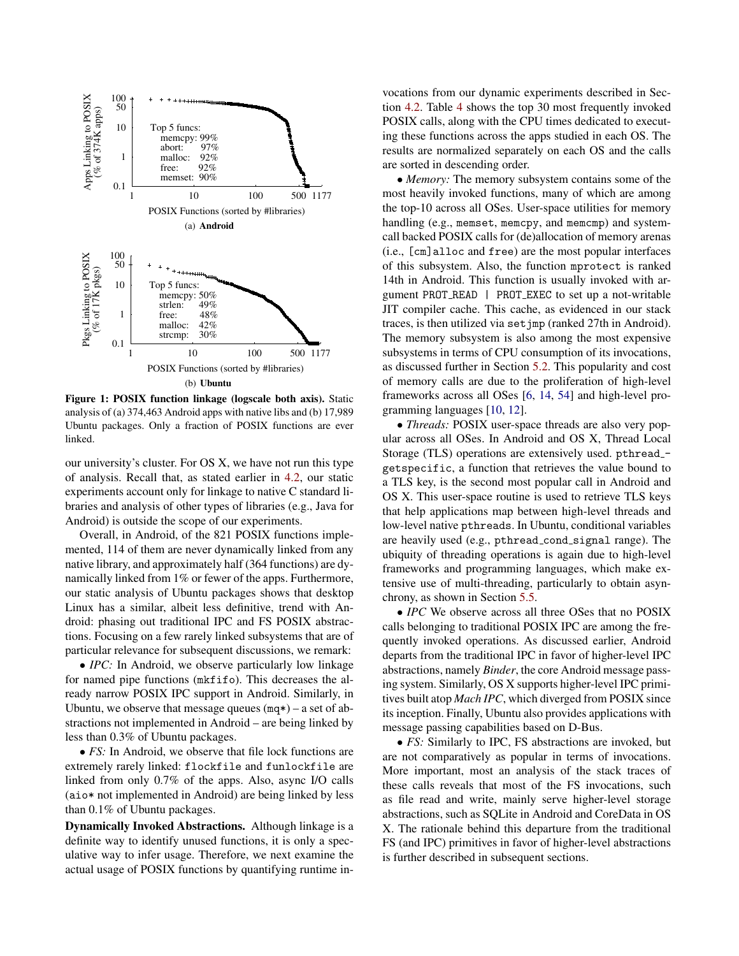<span id="page-6-0"></span>

Figure 1: POSIX function linkage (logscale both axis). Static analysis of (a) 374,463 Android apps with native libs and (b) 17,989 Ubuntu packages. Only a fraction of POSIX functions are ever linked.

our university's cluster. For OS X, we have not run this type of analysis. Recall that, as stated earlier in [4.2,](#page-4-1) our static experiments account only for linkage to native C standard libraries and analysis of other types of libraries (e.g., Java for Android) is outside the scope of our experiments.

Overall, in Android, of the 821 POSIX functions implemented, 114 of them are never dynamically linked from any native library, and approximately half (364 functions) are dynamically linked from 1% or fewer of the apps. Furthermore, our static analysis of Ubuntu packages shows that desktop Linux has a similar, albeit less definitive, trend with Android: phasing out traditional IPC and FS POSIX abstractions. Focusing on a few rarely linked subsystems that are of particular relevance for subsequent discussions, we remark:

• *IPC*: In Android, we observe particularly low linkage for named pipe functions (mkfifo). This decreases the already narrow POSIX IPC support in Android. Similarly, in Ubuntu, we observe that message queues  $(mq*)$  – a set of abstractions not implemented in Android – are being linked by less than 0.3% of Ubuntu packages.

• *FS:* In Android, we observe that file lock functions are extremely rarely linked: flockfile and funlockfile are linked from only 0.7% of the apps. Also, async I/O calls (aio\* not implemented in Android) are being linked by less than 0.1% of Ubuntu packages.

Dynamically Invoked Abstractions. Although linkage is a definite way to identify unused functions, it is only a speculative way to infer usage. Therefore, we next examine the actual usage of POSIX functions by quantifying runtime in-

vocations from our dynamic experiments described in Section [4.2.](#page-4-1) Table [4](#page-7-0) shows the top 30 most frequently invoked POSIX calls, along with the CPU times dedicated to executing these functions across the apps studied in each OS. The results are normalized separately on each OS and the calls are sorted in descending order.

• *Memory:* The memory subsystem contains some of the most heavily invoked functions, many of which are among the top-10 across all OSes. User-space utilities for memory handling (e.g., memset, memcpy, and memcmp) and systemcall backed POSIX calls for (de)allocation of memory arenas (i.e., [cm]alloc and free) are the most popular interfaces of this subsystem. Also, the function mprotect is ranked 14th in Android. This function is usually invoked with argument PROT READ | PROT EXEC to set up a not-writable JIT compiler cache. This cache, as evidenced in our stack traces, is then utilized via setjmp (ranked 27th in Android). The memory subsystem is also among the most expensive subsystems in terms of CPU consumption of its invocations, as discussed further in Section [5.2.](#page-7-1) This popularity and cost of memory calls are due to the proliferation of high-level frameworks across all OSes [\[6,](#page-14-16) [14,](#page-14-17) [54\]](#page-15-11) and high-level programming languages [\[10,](#page-14-18) [12\]](#page-14-19).

• *Threads:* POSIX user-space threads are also very popular across all OSes. In Android and OS X, Thread Local Storage (TLS) operations are extensively used. pthread getspecific, a function that retrieves the value bound to a TLS key, is the second most popular call in Android and OS X. This user-space routine is used to retrieve TLS keys that help applications map between high-level threads and low-level native pthreads. In Ubuntu, conditional variables are heavily used (e.g., pthread cond signal range). The ubiquity of threading operations is again due to high-level frameworks and programming languages, which make extensive use of multi-threading, particularly to obtain asynchrony, as shown in Section [5.5.](#page-12-1)

• *IPC* We observe across all three OSes that no POSIX calls belonging to traditional POSIX IPC are among the frequently invoked operations. As discussed earlier, Android departs from the traditional IPC in favor of higher-level IPC abstractions, namely *Binder*, the core Android message passing system. Similarly, OS X supports higher-level IPC primitives built atop *Mach IPC*, which diverged from POSIX since its inception. Finally, Ubuntu also provides applications with message passing capabilities based on D-Bus.

• *FS:* Similarly to IPC, FS abstractions are invoked, but are not comparatively as popular in terms of invocations. More important, most an analysis of the stack traces of these calls reveals that most of the FS invocations, such as file read and write, mainly serve higher-level storage abstractions, such as SQLite in Android and CoreData in OS X. The rationale behind this departure from the traditional FS (and IPC) primitives in favor of higher-level abstractions is further described in subsequent sections.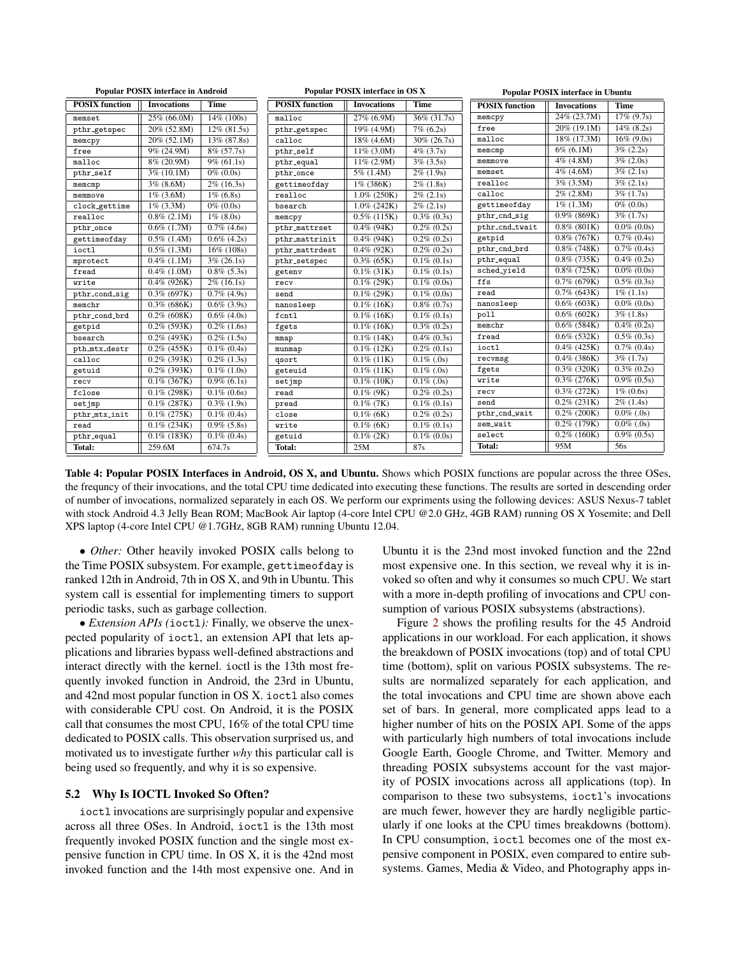<span id="page-7-0"></span>

| <b>Popular POSIX interface in Android</b> |                    |                |                       | Popular POSIX interface in OS X |                           | Popular POSIX interface in Ubuntu |                    |                  |  |
|-------------------------------------------|--------------------|----------------|-----------------------|---------------------------------|---------------------------|-----------------------------------|--------------------|------------------|--|
| <b>POSIX</b> function                     | <b>Invocations</b> | Time           | <b>POSIX</b> function | <b>Invocations</b><br>Time      |                           | <b>POSIX</b> function             | <b>Invocations</b> | Time             |  |
| memset                                    | 25% (66.0M)        | $14\%$ (100s)  | malloc                | 27% (6.9M)                      | 36% (31.7s)               | memcpy                            | $24\%$ (23.7M)     | $17\%$ (9.7s)    |  |
| pthr_getspec                              | 20% (52.8M)        | $12\%$ (81.5s) | pthr_getspec          | 19% (4.9M)                      | $7\% (6.2s)$              | free                              | 20% (19.1M)        | $14\%$ (8.2s)    |  |
| memcpy                                    | 20% (52.1M)        | 13% (87.8s)    | calloc                | 18% (4.6M)                      | $30\% (26.7s)$            | malloc                            | 18% (17.3M)        | $16\%$ (9.0s)    |  |
| free                                      | 9% (24.9M)         | 8% (57.7s)     | pthr_self             | $11\%$ (3.0M)                   | $4\%$ (3.7s)              | memcmp                            | $6\%$ (6.1M)       | $3\% (2.2s)$     |  |
| malloc                                    | 8% (20.9M)         | $9\%$ (61.1s)  | pthr_equal            | $11\% (2.9M)$                   | $3\% (3.5s)$              | memmove                           | 4% (4.8M)          | $3\% (2.0s)$     |  |
| pthr_self                                 | $3\%$ (10.1M)      | $0\% (0.0s)$   | pthr_once             | $5\%$ (1.4M)                    | $2\%$ (1.9s)              | memset                            | $4\%$ (4.6M)       | $3\% (2.1s)$     |  |
| memcmp                                    | 3% (8.6M)          | $2\%$ (16.3s)  | gettimeofday          | 1% (386K)                       | $2\%$ (1.8s)              | realloc                           | $3\%$ (3.5M)       | $3\% (2.1s)$     |  |
| memmove                                   | $1\%$ (3.6M)       | $1\%$ (6.8s)   | realloc               | $1.0\%$ (250K)                  | $2\% (2.1s)$              | calloc                            | $2\%$ (2.8M)       | $3\% (1.7s)$     |  |
| clock_gettime                             | $1\%$ (3.3M)       | $0\% (0.0s)$   | bsearch               | $1.0\%$ (242K)                  | $2\% (2.1s)$              | gettimeofday                      | $1\%$ (1.3M)       | $0\% (0.0s)$     |  |
| realloc                                   | $0.8\%$ (2.1M)     | $1\% (8.0s)$   | memcpy                | $0.5\%$ (115K)                  | $0.3\%$ $(0.3s)$          | pthr_cnd_sig                      | $0.9\%$ (869K)     | $3\% (1.7s)$     |  |
| pthr_once                                 | $0.6\%$ (1.7M)     | $0.7\%$ (4.6s) | pthr_mattrset         | $0.4\%$ (94K)                   | $0.2\%$ $(0.2s)$          | pthr_cnd_twait                    | $0.8\%$ (801K)     | $0.0\%$ (0.0s)   |  |
| gettimeofday                              | $0.5\%$ (1.4M)     | $0.6\%$ (4.2s) | pthr_mattrinit        | $0.4\%$ (94K)                   | $0.2\%$ $(0.2s)$          | getpid                            | $0.8\%$ (767K)     | $0.7\%$ (0.4s)   |  |
| ioctl                                     | $0.5\%$ (1.3M)     | $16\%$ (108s)  | pthr_mattrdest        | $0.4\%$ (92K)                   | $0.2\%$ $(0.2s)$          | pthr_cnd_brd                      | $0.8\%$ (748K)     | $0.7\%$ (0.4s)   |  |
| mprotect                                  | $0.4\%$ (1.1M)     | $3\% (26.1s)$  | pthr_setspec          | $0.3\%$ (65K)                   | $0.1\%$ (0.1s)            | pthr_equal                        | $0.8\%$ (735K)     | $0.4\%$ (0.2s)   |  |
| fread                                     | $0.4\%$ (1.0M)     | $0.8\%$ (5.3s) | getenv                | $0.1\%$ (31K)                   | $0.1\%$ (0.1s)            | sched_yield                       | $0.8\%$ (725K)     | $0.0\%$ (0.0s)   |  |
| write                                     | $0.4\%$ (926K)     | $2\%$ (16.1s)  | recv                  | $0.1\%$ (29K)                   | $0.1\%$ (0.0s)            | ffs                               | $0.7\%$ (679K)     | $0.5\%$ (0.3s)   |  |
| pthr_cond_sig                             | $0.3\%$ (697K)     | $0.7\%$ (4.9s) | send                  | $0.1\%$ (29K)                   | $0.1\%$ (0.0s)            | read                              | $0.7\%$ (643K)     | $1\% (1.1s)$     |  |
| memchr                                    | $0.3\%$ (686K)     | $0.6\%$ (3.9s) | nanosleep             | $0.1\%$ (16K)                   | $0.8\%$ (0.7s)            | nanosleep                         | $0.6\%$ (603K)     | $0.0\%$ (0.0s)   |  |
| pthr_cond_brd                             | $0.2\%$ (608K)     | $0.6\%$ (4.0s) | fcntl                 | $0.1\%$ (16K)                   | $\overline{0.1\%}$ (0.1s) | poll                              | $0.6\%$ (602K)     | $3\% (1.8s)$     |  |
| getpid                                    | $0.2\%$ (593K)     | $0.2\%$ (1.6s) | fgets                 | $0.1\%$ (16K)                   | $0.3\%$ $(0.2s)$          | memchr                            | $0.6\%$ (584K)     | $0.4\%$ (0.2s)   |  |
| bsearch                                   | $0.2\%$ (493K)     | $0.2\%$ (1.5s) | mmap                  | $0.1\%$ (14K)                   | $0.4\%$ $(0.3s)$          | fread                             | $0.6\%$ (532K)     | $0.5\%$ $(0.3s)$ |  |
| pth_mtx_destr                             | $0.2\%$ (455K)     | $0.1\%$ (0.4s) | munmap                | $0.1\%$ (12K)                   | $0.2\%$ (0.1s)            | ioctl                             | $0.4\%$ (425K)     | $0.7\%$ (0.4s)   |  |
| calloc                                    | $0.2\%$ (393K)     | $0.2\%$ (1.3s) | gsort                 | $0.1\%$ (11K)                   | $0.1\%$ (.0s)             | recvmsg                           | $0.4\%$ (386K)     | $3\% (1.7s)$     |  |
| getuid                                    | $0.2\%$ (393K)     | $0.1\%$ (1.0s) | geteuid               | $0.1\%$ (11K)                   | $0.1\%$ (.0s)             | fgets                             | $0.3\%$ (320K)     | $0.3\%$ $(0.2s)$ |  |
| recv                                      | $0.1\%$ (367K)     | $0.9\%$ (6.1s) | setjmp                | $0.1\%$ (10K)                   | $0.1\%$ (.0s)             | write                             | $0.3\%$ (276K)     | $0.9\%$ $(0.5s)$ |  |
| fclose                                    | $0.1\%$ (298K)     | $0.1\%$ (0.6s) | read                  | $0.1\%$ (9K)                    | $0.2\%$ $(0.2s)$          | recy                              | $0.3\%$ (272K)     | $1\% (0.6s)$     |  |
| setjmp                                    | $0.1\%$ (287K)     | $0.3\%$ (1.9s) | pread                 | $0.1\%$ (7K)                    | $0.1\%$ (0.1s)            | send                              | $0.2\%$ (231K)     | $2\%$ (1.4s)     |  |
| pthr_mtx_init                             | $0.1\%$ (275K)     | $0.1\%$ (0.4s) | close                 | $0.1\%$ (6K)                    | $0.2\%$ $(0.2s)$          | pthr_cnd_wait                     | $0.2\%$ (200K)     | $0.0\%$ (.0s)    |  |
| read                                      | $0.1\%$ (234K)     | $0.9\%$ (5.8s) | write                 | $0.1\%$ (6K)                    | $0.1\%$ (0.1s)            | sem_wait                          | $0.2\%$ (179K)     | $0.0\%$ (.0s)    |  |
| pthr_equal                                | $0.1\%$ (183K)     | $0.1\%$ (0.4s) | getuid                | $0.1\%$ (2K)                    | $0.1\% (0.0s)$            | select                            | $0.2\%$ (160K)     | $0.9\%$ $(0.5s)$ |  |
| Total:                                    | 259.6M             | 674.7s         | Total:                | 25M                             | 87s                       | <b>Total:</b>                     | 95M                | 56s              |  |

Table 4: Popular POSIX Interfaces in Android, OS X, and Ubuntu. Shows which POSIX functions are popular across the three OSes, the frequncy of their invocations, and the total CPU time dedicated into executing these functions. The results are sorted in descending order of number of invocations, normalized separately in each OS. We perform our expriments using the following devices: ASUS Nexus-7 tablet with stock Android 4.3 Jelly Bean ROM; MacBook Air laptop (4-core Intel CPU @2.0 GHz, 4GB RAM) running OS X Yosemite; and Dell XPS laptop (4-core Intel CPU @1.7GHz, 8GB RAM) running Ubuntu 12.04.

• *Other:* Other heavily invoked POSIX calls belong to the Time POSIX subsystem. For example, gettimeofday is ranked 12th in Android, 7th in OS X, and 9th in Ubuntu. This system call is essential for implementing timers to support periodic tasks, such as garbage collection.

• *Extension APIs (*ioctl*):* Finally, we observe the unexpected popularity of ioctl, an extension API that lets applications and libraries bypass well-defined abstractions and interact directly with the kernel. ioctl is the 13th most frequently invoked function in Android, the 23rd in Ubuntu, and 42nd most popular function in OS X. ioctl also comes with considerable CPU cost. On Android, it is the POSIX call that consumes the most CPU, 16% of the total CPU time dedicated to POSIX calls. This observation surprised us, and motivated us to investigate further *why* this particular call is being used so frequently, and why it is so expensive.

## <span id="page-7-1"></span>5.2 Why Is IOCTL Invoked So Often?

ioctl invocations are surprisingly popular and expensive across all three OSes. In Android, ioctl is the 13th most frequently invoked POSIX function and the single most expensive function in CPU time. In OS X, it is the 42nd most invoked function and the 14th most expensive one. And in

Ubuntu it is the 23nd most invoked function and the 22nd most expensive one. In this section, we reveal why it is invoked so often and why it consumes so much CPU. We start with a more in-depth profiling of invocations and CPU consumption of various POSIX subsystems (abstractions).

Figure [2](#page-8-0) shows the profiling results for the 45 Android applications in our workload. For each application, it shows the breakdown of POSIX invocations (top) and of total CPU time (bottom), split on various POSIX subsystems. The results are normalized separately for each application, and the total invocations and CPU time are shown above each set of bars. In general, more complicated apps lead to a higher number of hits on the POSIX API. Some of the apps with particularly high numbers of total invocations include Google Earth, Google Chrome, and Twitter. Memory and threading POSIX subsystems account for the vast majority of POSIX invocations across all applications (top). In comparison to these two subsystems, ioctl's invocations are much fewer, however they are hardly negligible particularly if one looks at the CPU times breakdowns (bottom). In CPU consumption, ioctl becomes one of the most expensive component in POSIX, even compared to entire subsystems. Games, Media & Video, and Photography apps in-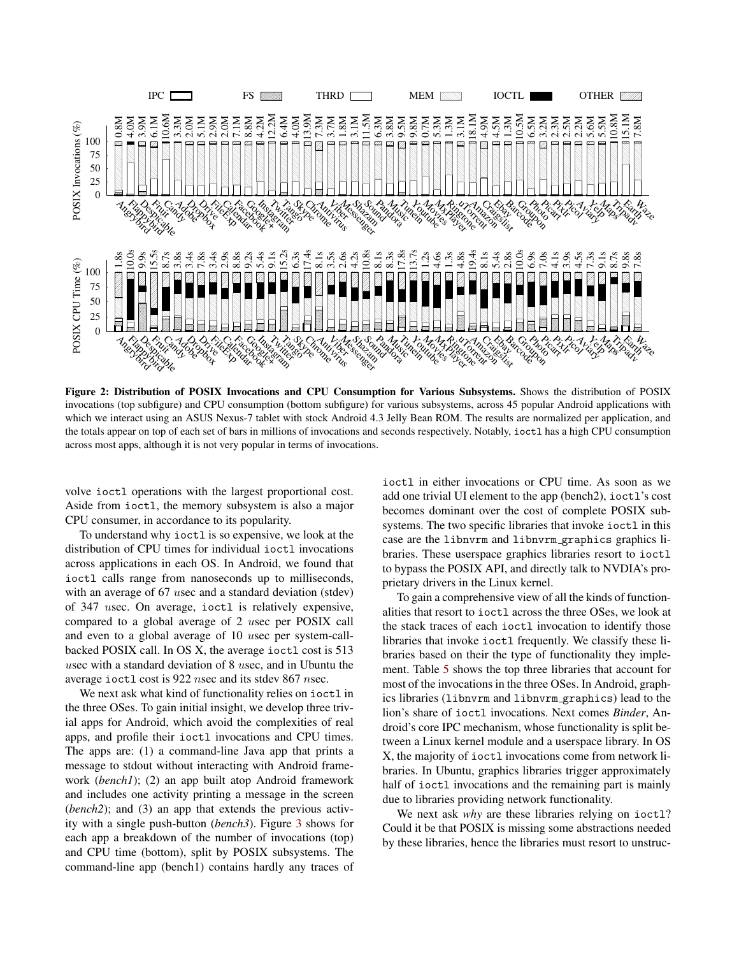<span id="page-8-0"></span>

Figure 2: Distribution of POSIX Invocations and CPU Consumption for Various Subsystems. Shows the distribution of POSIX invocations (top subfigure) and CPU consumption (bottom subfigure) for various subsystems, across 45 popular Android applications with which we interact using an ASUS Nexus-7 tablet with stock Android 4.3 Jelly Bean ROM. The results are normalized per application, and the totals appear on top of each set of bars in millions of invocations and seconds respectively. Notably, ioctl has a high CPU consumption across most apps, although it is not very popular in terms of invocations.

volve ioctl operations with the largest proportional cost. Aside from ioctl, the memory subsystem is also a major CPU consumer, in accordance to its popularity.

To understand why ioctl is so expensive, we look at the distribution of CPU times for individual ioctl invocations across applications in each OS. In Android, we found that ioctl calls range from nanoseconds up to milliseconds, with an average of 67 usec and a standard deviation (stdev) of 347 usec. On average, ioctl is relatively expensive, compared to a global average of 2 usec per POSIX call and even to a global average of 10 usec per system-callbacked POSIX call. In OS X, the average ioctl cost is 513 usec with a standard deviation of 8 usec, and in Ubuntu the average ioctl cost is 922 nsec and its stdev 867 nsec.

We next ask what kind of functionality relies on ioctl in the three OSes. To gain initial insight, we develop three trivial apps for Android, which avoid the complexities of real apps, and profile their ioctl invocations and CPU times. The apps are: (1) a command-line Java app that prints a message to stdout without interacting with Android framework (*bench1*); (2) an app built atop Android framework and includes one activity printing a message in the screen (*bench2*); and (3) an app that extends the previous activity with a single push-button (*bench3*). Figure [3](#page-9-0) shows for each app a breakdown of the number of invocations (top) and CPU time (bottom), split by POSIX subsystems. The command-line app (bench1) contains hardly any traces of

ioctl in either invocations or CPU time. As soon as we add one trivial UI element to the app (bench2), ioctl's cost becomes dominant over the cost of complete POSIX subsystems. The two specific libraries that invoke ioctl in this case are the libnvrm and libnvrm graphics graphics libraries. These userspace graphics libraries resort to ioctl to bypass the POSIX API, and directly talk to NVDIA's proprietary drivers in the Linux kernel.

To gain a comprehensive view of all the kinds of functionalities that resort to ioctl across the three OSes, we look at the stack traces of each ioctl invocation to identify those libraries that invoke ioctl frequently. We classify these libraries based on their the type of functionality they implement. Table [5](#page-9-1) shows the top three libraries that account for most of the invocations in the three OSes. In Android, graphics libraries (libnvrm and libnvrm graphics) lead to the lion's share of ioctl invocations. Next comes *Binder*, Android's core IPC mechanism, whose functionality is split between a Linux kernel module and a userspace library. In OS X, the majority of ioctl invocations come from network libraries. In Ubuntu, graphics libraries trigger approximately half of ioctl invocations and the remaining part is mainly due to libraries providing network functionality.

We next ask *why* are these libraries relying on ioct1? Could it be that POSIX is missing some abstractions needed by these libraries, hence the libraries must resort to unstruc-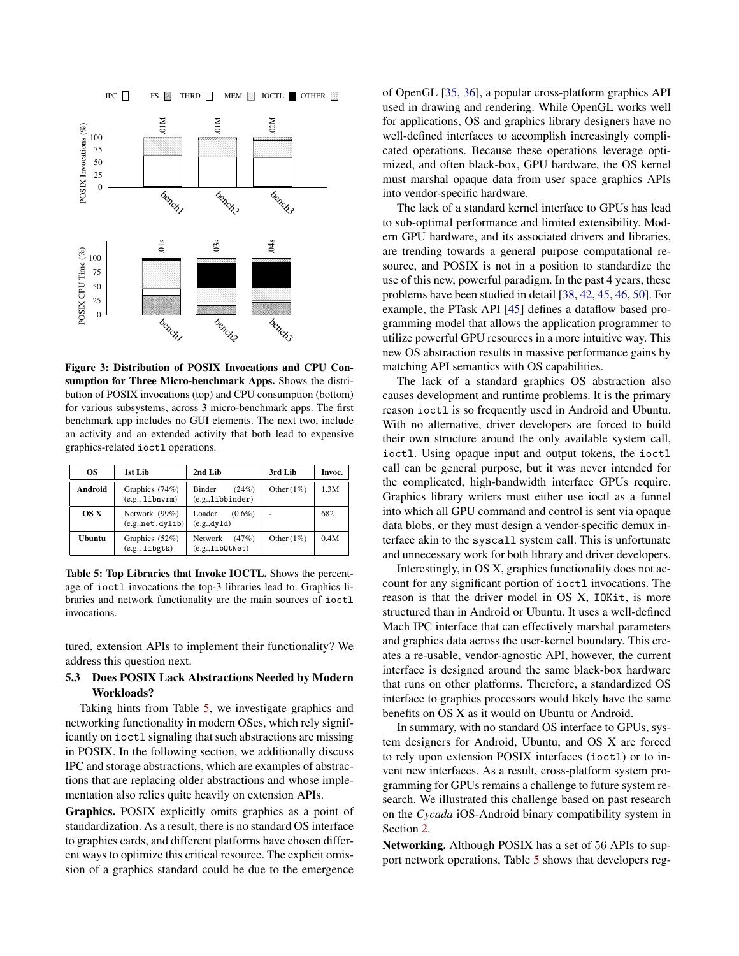<span id="page-9-0"></span>

Figure 3: Distribution of POSIX Invocations and CPU Consumption for Three Micro-benchmark Apps. Shows the distribution of POSIX invocations (top) and CPU consumption (bottom) for various subsystems, across 3 micro-benchmark apps. The first benchmark app includes no GUI elements. The next two, include an activity and an extended activity that both lead to expensive graphics-related ioctl operations.

<span id="page-9-1"></span>

| <b>OS</b>      | 1st Lib                            | 2nd Lib                                        | 3rd Lib       | Invoc. |
|----------------|------------------------------------|------------------------------------------------|---------------|--------|
| <b>Android</b> | Graphics (74%)<br>(e.g., 1ibnvrm)  | Binder<br>(24%)<br>(e.g.,1ibbinder)            | Other $(1\%)$ | 1.3M   |
| OS X           | Network (99%)<br>(e.g., net.dylib) | Loader<br>$(0.6\%)$<br>(e.g., dy1d)            |               | 682    |
| <b>Ubuntu</b>  | Graphics (52%)<br>(e.g., 1ibgtk)   | Network<br>(47%)<br>$(e.g.,\texttt{libQtNet})$ | Other $(1\%)$ | 0.4M   |

Table 5: Top Libraries that Invoke IOCTL. Shows the percentage of ioctl invocations the top-3 libraries lead to. Graphics libraries and network functionality are the main sources of ioctl invocations.

tured, extension APIs to implement their functionality? We address this question next.

# 5.3 Does POSIX Lack Abstractions Needed by Modern Workloads?

Taking hints from Table [5,](#page-9-1) we investigate graphics and networking functionality in modern OSes, which rely significantly on ioctl signaling that such abstractions are missing in POSIX. In the following section, we additionally discuss IPC and storage abstractions, which are examples of abstractions that are replacing older abstractions and whose implementation also relies quite heavily on extension APIs.

Graphics. POSIX explicitly omits graphics as a point of standardization. As a result, there is no standard OS interface to graphics cards, and different platforms have chosen different ways to optimize this critical resource. The explicit omission of a graphics standard could be due to the emergence

of OpenGL [\[35,](#page-15-12) [36\]](#page-15-13), a popular cross-platform graphics API used in drawing and rendering. While OpenGL works well for applications, OS and graphics library designers have no well-defined interfaces to accomplish increasingly complicated operations. Because these operations leverage optimized, and often black-box, GPU hardware, the OS kernel must marshal opaque data from user space graphics APIs into vendor-specific hardware.

The lack of a standard kernel interface to GPUs has lead to sub-optimal performance and limited extensibility. Modern GPU hardware, and its associated drivers and libraries, are trending towards a general purpose computational resource, and POSIX is not in a position to standardize the use of this new, powerful paradigm. In the past 4 years, these problems have been studied in detail [\[38,](#page-15-14) [42,](#page-15-15) [45,](#page-15-16) [46,](#page-15-17) [50\]](#page-15-18). For example, the PTask API [\[45\]](#page-15-16) defines a dataflow based programming model that allows the application programmer to utilize powerful GPU resources in a more intuitive way. This new OS abstraction results in massive performance gains by matching API semantics with OS capabilities.

The lack of a standard graphics OS abstraction also causes development and runtime problems. It is the primary reason ioctl is so frequently used in Android and Ubuntu. With no alternative, driver developers are forced to build their own structure around the only available system call, ioctl. Using opaque input and output tokens, the ioctl call can be general purpose, but it was never intended for the complicated, high-bandwidth interface GPUs require. Graphics library writers must either use ioctl as a funnel into which all GPU command and control is sent via opaque data blobs, or they must design a vendor-specific demux interface akin to the syscall system call. This is unfortunate and unnecessary work for both library and driver developers.

Interestingly, in OS X, graphics functionality does not account for any significant portion of ioctl invocations. The reason is that the driver model in OS X, IOKit, is more structured than in Android or Ubuntu. It uses a well-defined Mach IPC interface that can effectively marshal parameters and graphics data across the user-kernel boundary. This creates a re-usable, vendor-agnostic API, however, the current interface is designed around the same black-box hardware that runs on other platforms. Therefore, a standardized OS interface to graphics processors would likely have the same benefits on OS X as it would on Ubuntu or Android.

In summary, with no standard OS interface to GPUs, system designers for Android, Ubuntu, and OS X are forced to rely upon extension POSIX interfaces (ioctl) or to invent new interfaces. As a result, cross-platform system programming for GPUs remains a challenge to future system research. We illustrated this challenge based on past research on the *Cycada* iOS-Android binary compatibility system in Section [2.](#page-1-0)

Networking. Although POSIX has a set of 56 APIs to support network operations, Table [5](#page-9-1) shows that developers reg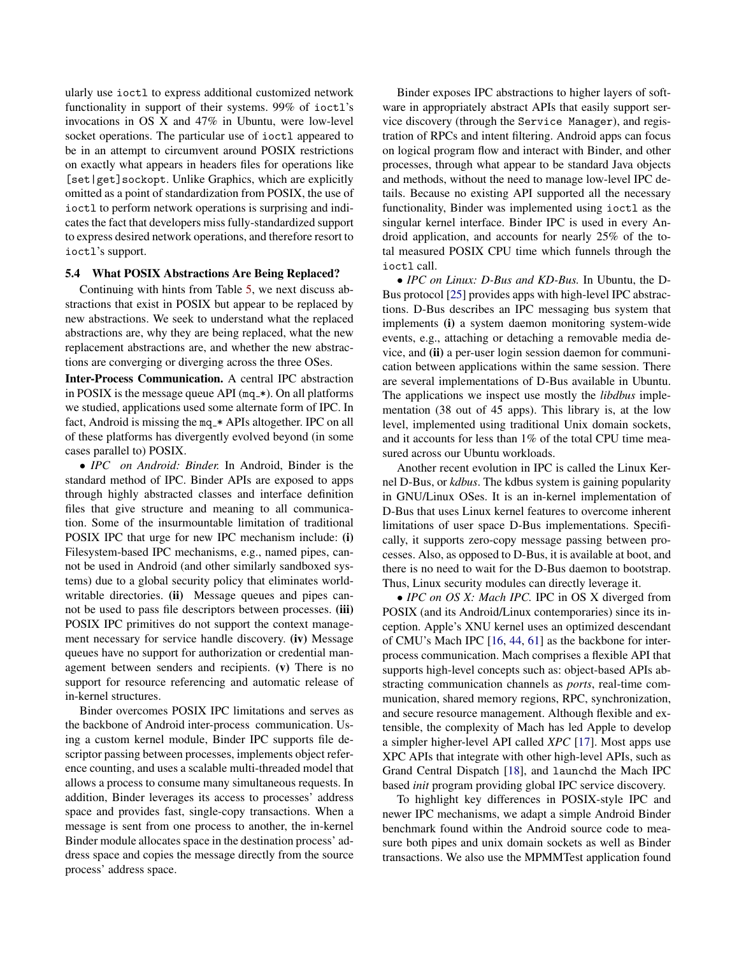ularly use ioctl to express additional customized network functionality in support of their systems. 99% of ioctl's invocations in OS X and 47% in Ubuntu, were low-level socket operations. The particular use of ioctl appeared to be in an attempt to circumvent around POSIX restrictions on exactly what appears in headers files for operations like [set | get] sockopt. Unlike Graphics, which are explicitly omitted as a point of standardization from POSIX, the use of ioctl to perform network operations is surprising and indicates the fact that developers miss fully-standardized support to express desired network operations, and therefore resort to ioctl's support.

## 5.4 What POSIX Abstractions Are Being Replaced?

Continuing with hints from Table [5,](#page-9-1) we next discuss abstractions that exist in POSIX but appear to be replaced by new abstractions. We seek to understand what the replaced abstractions are, why they are being replaced, what the new replacement abstractions are, and whether the new abstractions are converging or diverging across the three OSes.

Inter-Process Communication. A central IPC abstraction in POSIX is the message queue API  $(mq_**)$ . On all platforms we studied, applications used some alternate form of IPC. In fact, Android is missing the mq\_\* APIs altogether. IPC on all of these platforms has divergently evolved beyond (in some cases parallel to) POSIX.

• *IPC on Android: Binder.* In Android, Binder is the standard method of IPC. Binder APIs are exposed to apps through highly abstracted classes and interface definition files that give structure and meaning to all communication. Some of the insurmountable limitation of traditional POSIX IPC that urge for new IPC mechanism include: (i) Filesystem-based IPC mechanisms, e.g., named pipes, cannot be used in Android (and other similarly sandboxed systems) due to a global security policy that eliminates worldwritable directories. (ii) Message queues and pipes cannot be used to pass file descriptors between processes. (iii) POSIX IPC primitives do not support the context management necessary for service handle discovery. (iv) Message queues have no support for authorization or credential management between senders and recipients. (v) There is no support for resource referencing and automatic release of in-kernel structures.

Binder overcomes POSIX IPC limitations and serves as the backbone of Android inter-process communication. Using a custom kernel module, Binder IPC supports file descriptor passing between processes, implements object reference counting, and uses a scalable multi-threaded model that allows a process to consume many simultaneous requests. In addition, Binder leverages its access to processes' address space and provides fast, single-copy transactions. When a message is sent from one process to another, the in-kernel Binder module allocates space in the destination process' address space and copies the message directly from the source process' address space.

Binder exposes IPC abstractions to higher layers of software in appropriately abstract APIs that easily support service discovery (through the Service Manager), and registration of RPCs and intent filtering. Android apps can focus on logical program flow and interact with Binder, and other processes, through what appear to be standard Java objects and methods, without the need to manage low-level IPC details. Because no existing API supported all the necessary functionality, Binder was implemented using ioctl as the singular kernel interface. Binder IPC is used in every Android application, and accounts for nearly 25% of the total measured POSIX CPU time which funnels through the ioctl call.

• *IPC on Linux: D-Bus and KD-Bus.* In Ubuntu, the D-Bus protocol [\[25\]](#page-14-6) provides apps with high-level IPC abstractions. D-Bus describes an IPC messaging bus system that implements (i) a system daemon monitoring system-wide events, e.g., attaching or detaching a removable media device, and (ii) a per-user login session daemon for communication between applications within the same session. There are several implementations of D-Bus available in Ubuntu. The applications we inspect use mostly the *libdbus* implementation (38 out of 45 apps). This library is, at the low level, implemented using traditional Unix domain sockets, and it accounts for less than 1% of the total CPU time measured across our Ubuntu workloads.

Another recent evolution in IPC is called the Linux Kernel D-Bus, or *kdbus*. The kdbus system is gaining popularity in GNU/Linux OSes. It is an in-kernel implementation of D-Bus that uses Linux kernel features to overcome inherent limitations of user space D-Bus implementations. Specifically, it supports zero-copy message passing between processes. Also, as opposed to D-Bus, it is available at boot, and there is no need to wait for the D-Bus daemon to bootstrap. Thus, Linux security modules can directly leverage it.

• *IPC on OS X: Mach IPC.* IPC in OS X diverged from POSIX (and its Android/Linux contemporaries) since its inception. Apple's XNU kernel uses an optimized descendant of CMU's Mach IPC [\[16,](#page-14-20) [44,](#page-15-19) [61\]](#page-16-0) as the backbone for interprocess communication. Mach comprises a flexible API that supports high-level concepts such as: object-based APIs abstracting communication channels as *ports*, real-time communication, shared memory regions, RPC, synchronization, and secure resource management. Although flexible and extensible, the complexity of Mach has led Apple to develop a simpler higher-level API called *XPC* [\[17\]](#page-14-21). Most apps use XPC APIs that integrate with other high-level APIs, such as Grand Central Dispatch [\[18\]](#page-14-4), and launchd the Mach IPC based *init* program providing global IPC service discovery.

To highlight key differences in POSIX-style IPC and newer IPC mechanisms, we adapt a simple Android Binder benchmark found within the Android source code to measure both pipes and unix domain sockets as well as Binder transactions. We also use the MPMMTest application found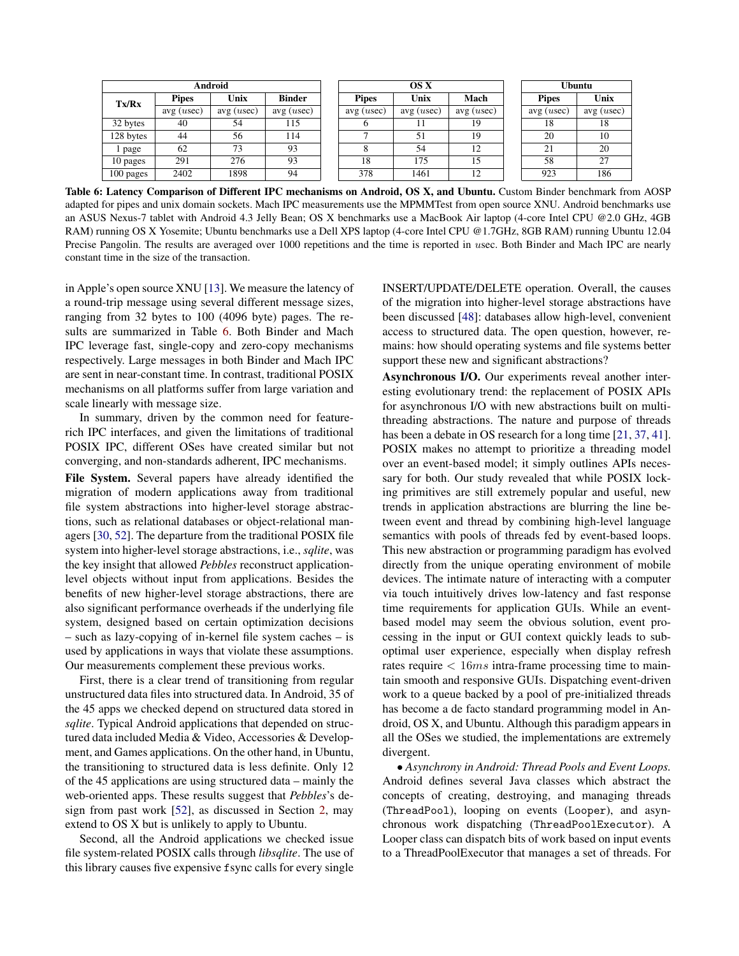<span id="page-11-0"></span>

| Android   |                  |                       |                       | OS X                  |              |                  |  |                       | <b>Ubuntu</b>    |
|-----------|------------------|-----------------------|-----------------------|-----------------------|--------------|------------------|--|-----------------------|------------------|
| Tx/Rx     | <b>Pipes</b>     | Unix                  | <b>Binder</b>         | <b>Pipes</b>          | Unix         | Mach             |  | <b>Pipes</b>          | Unix             |
|           | $avg$ ( $usec$ ) | $avg$ ( <i>usec</i> ) | $avg$ ( <i>usec</i> ) | $avg$ ( <i>usec</i> ) | avg $(usec)$ | $avg$ ( $usec$ ) |  | $avg$ ( <i>usec</i> ) | $avg$ ( $usec$ ) |
| 32 bytes  | 40               | 54                    | 115                   | O                     | 11           | 19               |  | 18                    | 18               |
| 128 bytes | 44               | 56                    | 114                   |                       | 51           | 19               |  | 20                    | 10               |
| page      | 62               | 73                    | 93                    |                       | 54           | 12               |  | 21                    | 20               |
| 10 pages  | 291              | 276                   | 93                    | 18                    | 175          | 15               |  | 58                    | 27               |
| 100 pages | 2402             | 1898                  | 94                    | 378                   | 1461         | 12               |  | 923                   | 186              |

Table 6: Latency Comparison of Different IPC mechanisms on Android, OS X, and Ubuntu. Custom Binder benchmark from AOSP adapted for pipes and unix domain sockets. Mach IPC measurements use the MPMMTest from open source XNU. Android benchmarks use an ASUS Nexus-7 tablet with Android 4.3 Jelly Bean; OS X benchmarks use a MacBook Air laptop (4-core Intel CPU @2.0 GHz, 4GB RAM) running OS X Yosemite; Ubuntu benchmarks use a Dell XPS laptop (4-core Intel CPU @1.7GHz, 8GB RAM) running Ubuntu 12.04 Precise Pangolin. The results are averaged over 1000 repetitions and the time is reported in usec. Both Binder and Mach IPC are nearly constant time in the size of the transaction.

in Apple's open source XNU [\[13\]](#page-14-22). We measure the latency of a round-trip message using several different message sizes, ranging from 32 bytes to 100 (4096 byte) pages. The results are summarized in Table [6.](#page-11-0) Both Binder and Mach IPC leverage fast, single-copy and zero-copy mechanisms respectively. Large messages in both Binder and Mach IPC are sent in near-constant time. In contrast, traditional POSIX mechanisms on all platforms suffer from large variation and scale linearly with message size.

In summary, driven by the common need for featurerich IPC interfaces, and given the limitations of traditional POSIX IPC, different OSes have created similar but not converging, and non-standards adherent, IPC mechanisms.

File System. Several papers have already identified the migration of modern applications away from traditional file system abstractions into higher-level storage abstractions, such as relational databases or object-relational managers [\[30,](#page-14-9) [52\]](#page-15-2). The departure from the traditional POSIX file system into higher-level storage abstractions, i.e., *sqlite*, was the key insight that allowed *Pebbles* reconstruct applicationlevel objects without input from applications. Besides the benefits of new higher-level storage abstractions, there are also significant performance overheads if the underlying file system, designed based on certain optimization decisions – such as lazy-copying of in-kernel file system caches – is used by applications in ways that violate these assumptions. Our measurements complement these previous works.

First, there is a clear trend of transitioning from regular unstructured data files into structured data. In Android, 35 of the 45 apps we checked depend on structured data stored in *sqlite*. Typical Android applications that depended on structured data included Media & Video, Accessories & Development, and Games applications. On the other hand, in Ubuntu, the transitioning to structured data is less definite. Only 12 of the 45 applications are using structured data – mainly the web-oriented apps. These results suggest that *Pebbles*'s design from past work [\[52\]](#page-15-2), as discussed in Section [2,](#page-1-0) may extend to OS X but is unlikely to apply to Ubuntu.

Second, all the Android applications we checked issue file system-related POSIX calls through *libsqlite*. The use of this library causes five expensive fsync calls for every single

INSERT/UPDATE/DELETE operation. Overall, the causes of the migration into higher-level storage abstractions have been discussed [\[48\]](#page-15-20): databases allow high-level, convenient access to structured data. The open question, however, remains: how should operating systems and file systems better support these new and significant abstractions?

Asynchronous I/O. Our experiments reveal another interesting evolutionary trend: the replacement of POSIX APIs for asynchronous I/O with new abstractions built on multithreading abstractions. The nature and purpose of threads has been a debate in OS research for a long time [\[21,](#page-14-23) [37,](#page-15-21) [41\]](#page-15-22). POSIX makes no attempt to prioritize a threading model over an event-based model; it simply outlines APIs necessary for both. Our study revealed that while POSIX locking primitives are still extremely popular and useful, new trends in application abstractions are blurring the line between event and thread by combining high-level language semantics with pools of threads fed by event-based loops. This new abstraction or programming paradigm has evolved directly from the unique operating environment of mobile devices. The intimate nature of interacting with a computer via touch intuitively drives low-latency and fast response time requirements for application GUIs. While an eventbased model may seem the obvious solution, event processing in the input or GUI context quickly leads to suboptimal user experience, especially when display refresh rates require  $\langle 16ms \text{ intra-frame processing time to main-}$ tain smooth and responsive GUIs. Dispatching event-driven work to a queue backed by a pool of pre-initialized threads has become a de facto standard programming model in Android, OS X, and Ubuntu. Although this paradigm appears in all the OSes we studied, the implementations are extremely divergent.

• *Asynchrony in Android: Thread Pools and Event Loops.* Android defines several Java classes which abstract the concepts of creating, destroying, and managing threads (ThreadPool), looping on events (Looper), and asynchronous work dispatching (ThreadPoolExecutor). A Looper class can dispatch bits of work based on input events to a ThreadPoolExecutor that manages a set of threads. For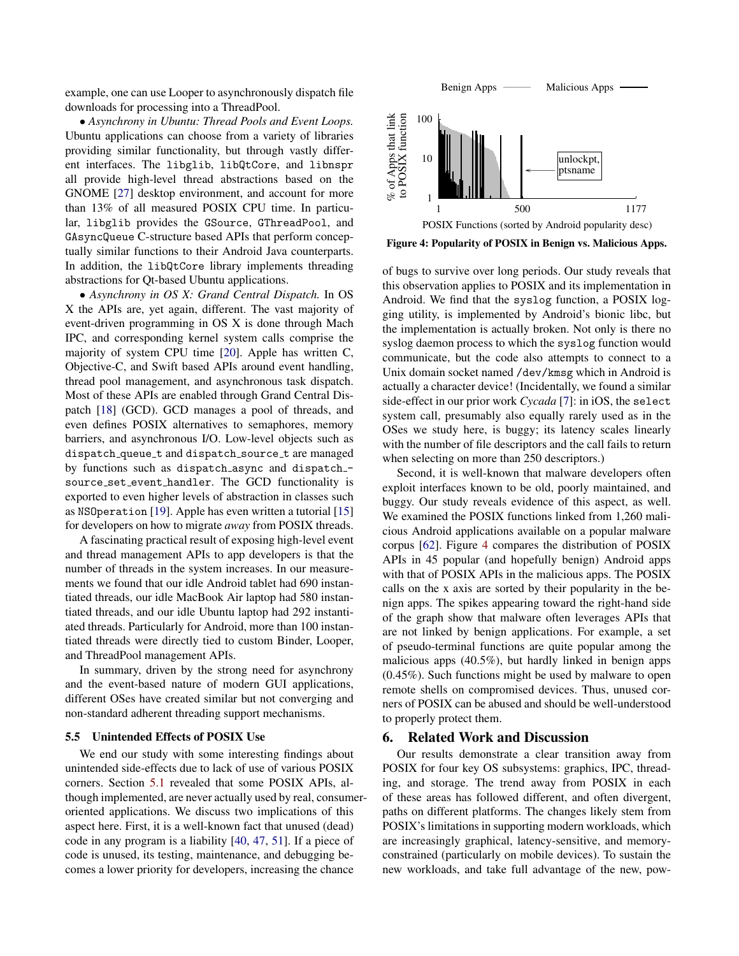example, one can use Looper to asynchronously dispatch file downloads for processing into a ThreadPool.

• *Asynchrony in Ubuntu: Thread Pools and Event Loops.* Ubuntu applications can choose from a variety of libraries providing similar functionality, but through vastly different interfaces. The libglib, libQtCore, and libnspr all provide high-level thread abstractions based on the GNOME [\[27\]](#page-14-24) desktop environment, and account for more than 13% of all measured POSIX CPU time. In particular, libglib provides the GSource, GThreadPool, and GAsyncQueue C-structure based APIs that perform conceptually similar functions to their Android Java counterparts. In addition, the libQtCore library implements threading abstractions for Qt-based Ubuntu applications.

• *Asynchrony in OS X: Grand Central Dispatch.* In OS X the APIs are, yet again, different. The vast majority of event-driven programming in OS X is done through Mach IPC, and corresponding kernel system calls comprise the majority of system CPU time [\[20\]](#page-14-25). Apple has written C, Objective-C, and Swift based APIs around event handling, thread pool management, and asynchronous task dispatch. Most of these APIs are enabled through Grand Central Dispatch [\[18\]](#page-14-4) (GCD). GCD manages a pool of threads, and even defines POSIX alternatives to semaphores, memory barriers, and asynchronous I/O. Low-level objects such as dispatch queue t and dispatch source t are managed by functions such as dispatch async and dispatch source set event handler. The GCD functionality is exported to even higher levels of abstraction in classes such as NSOperation [\[19\]](#page-14-26). Apple has even written a tutorial [\[15\]](#page-14-27) for developers on how to migrate *away* from POSIX threads.

A fascinating practical result of exposing high-level event and thread management APIs to app developers is that the number of threads in the system increases. In our measurements we found that our idle Android tablet had 690 instantiated threads, our idle MacBook Air laptop had 580 instantiated threads, and our idle Ubuntu laptop had 292 instantiated threads. Particularly for Android, more than 100 instantiated threads were directly tied to custom Binder, Looper, and ThreadPool management APIs.

In summary, driven by the strong need for asynchrony and the event-based nature of modern GUI applications, different OSes have created similar but not converging and non-standard adherent threading support mechanisms.

## <span id="page-12-1"></span>5.5 Unintended Effects of POSIX Use

We end our study with some interesting findings about unintended side-effects due to lack of use of various POSIX corners. Section [5.1](#page-4-2) revealed that some POSIX APIs, although implemented, are never actually used by real, consumeroriented applications. We discuss two implications of this aspect here. First, it is a well-known fact that unused (dead) code in any program is a liability [\[40,](#page-15-23) [47,](#page-15-24) [51\]](#page-15-25). If a piece of code is unused, its testing, maintenance, and debugging becomes a lower priority for developers, increasing the chance

<span id="page-12-2"></span>

Figure 4: Popularity of POSIX in Benign vs. Malicious Apps.

of bugs to survive over long periods. Our study reveals that this observation applies to POSIX and its implementation in Android. We find that the syslog function, a POSIX logging utility, is implemented by Android's bionic libc, but the implementation is actually broken. Not only is there no syslog daemon process to which the syslog function would communicate, but the code also attempts to connect to a Unix domain socket named /dev/kmsg which in Android is actually a character device! (Incidentally, we found a similar side-effect in our prior work *Cycada* [\[7\]](#page-14-8): in iOS, the select system call, presumably also equally rarely used as in the OSes we study here, is buggy; its latency scales linearly with the number of file descriptors and the call fails to return when selecting on more than 250 descriptors.)

Second, it is well-known that malware developers often exploit interfaces known to be old, poorly maintained, and buggy. Our study reveals evidence of this aspect, as well. We examined the POSIX functions linked from 1,260 malicious Android applications available on a popular malware corpus [\[62\]](#page-16-1). Figure [4](#page-12-2) compares the distribution of POSIX APIs in 45 popular (and hopefully benign) Android apps with that of POSIX APIs in the malicious apps. The POSIX calls on the x axis are sorted by their popularity in the benign apps. The spikes appearing toward the right-hand side of the graph show that malware often leverages APIs that are not linked by benign applications. For example, a set of pseudo-terminal functions are quite popular among the malicious apps (40.5%), but hardly linked in benign apps (0.45%). Such functions might be used by malware to open remote shells on compromised devices. Thus, unused corners of POSIX can be abused and should be well-understood to properly protect them.

## <span id="page-12-0"></span>6. Related Work and Discussion

Our results demonstrate a clear transition away from POSIX for four key OS subsystems: graphics, IPC, threading, and storage. The trend away from POSIX in each of these areas has followed different, and often divergent, paths on different platforms. The changes likely stem from POSIX's limitations in supporting modern workloads, which are increasingly graphical, latency-sensitive, and memoryconstrained (particularly on mobile devices). To sustain the new workloads, and take full advantage of the new, pow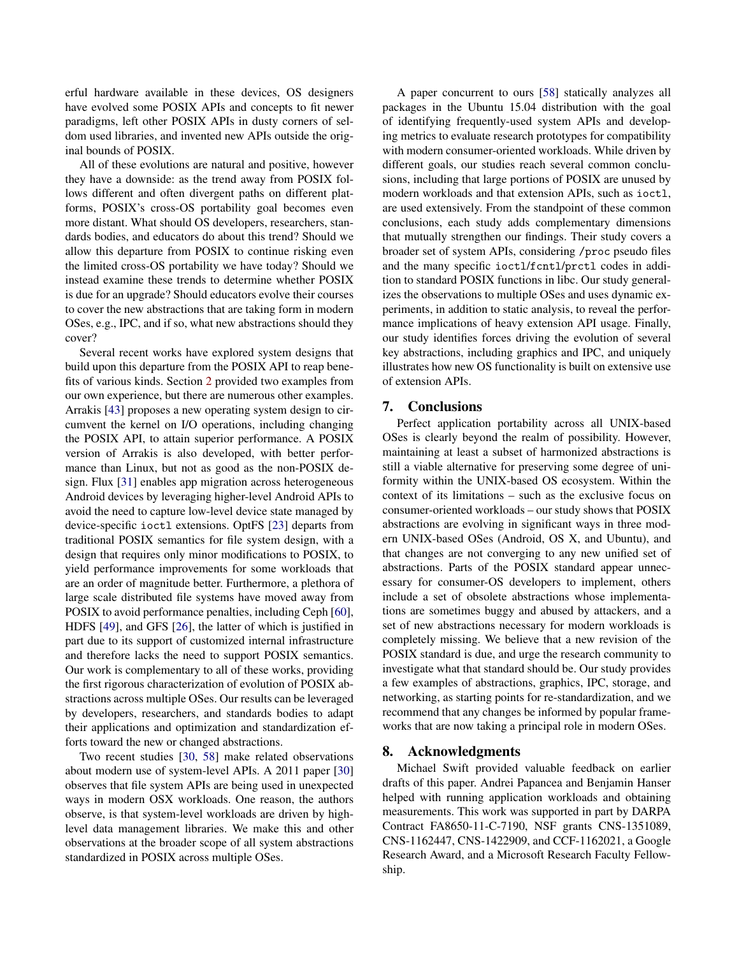erful hardware available in these devices, OS designers have evolved some POSIX APIs and concepts to fit newer paradigms, left other POSIX APIs in dusty corners of seldom used libraries, and invented new APIs outside the original bounds of POSIX.

All of these evolutions are natural and positive, however they have a downside: as the trend away from POSIX follows different and often divergent paths on different platforms, POSIX's cross-OS portability goal becomes even more distant. What should OS developers, researchers, standards bodies, and educators do about this trend? Should we allow this departure from POSIX to continue risking even the limited cross-OS portability we have today? Should we instead examine these trends to determine whether POSIX is due for an upgrade? Should educators evolve their courses to cover the new abstractions that are taking form in modern OSes, e.g., IPC, and if so, what new abstractions should they cover?

Several recent works have explored system designs that build upon this departure from the POSIX API to reap benefits of various kinds. Section [2](#page-1-0) provided two examples from our own experience, but there are numerous other examples. Arrakis [\[43\]](#page-15-26) proposes a new operating system design to circumvent the kernel on I/O operations, including changing the POSIX API, to attain superior performance. A POSIX version of Arrakis is also developed, with better performance than Linux, but not as good as the non-POSIX design. Flux [\[31\]](#page-14-28) enables app migration across heterogeneous Android devices by leveraging higher-level Android APIs to avoid the need to capture low-level device state managed by device-specific ioctl extensions. OptFS [\[23\]](#page-14-29) departs from traditional POSIX semantics for file system design, with a design that requires only minor modifications to POSIX, to yield performance improvements for some workloads that are an order of magnitude better. Furthermore, a plethora of large scale distributed file systems have moved away from POSIX to avoid performance penalties, including Ceph [\[60\]](#page-15-27), HDFS [\[49\]](#page-15-28), and GFS [\[26\]](#page-14-30), the latter of which is justified in part due to its support of customized internal infrastructure and therefore lacks the need to support POSIX semantics. Our work is complementary to all of these works, providing the first rigorous characterization of evolution of POSIX abstractions across multiple OSes. Our results can be leveraged by developers, researchers, and standards bodies to adapt their applications and optimization and standardization efforts toward the new or changed abstractions.

Two recent studies [\[30,](#page-14-9) [58\]](#page-15-3) make related observations about modern use of system-level APIs. A 2011 paper [\[30\]](#page-14-9) observes that file system APIs are being used in unexpected ways in modern OSX workloads. One reason, the authors observe, is that system-level workloads are driven by highlevel data management libraries. We make this and other observations at the broader scope of all system abstractions standardized in POSIX across multiple OSes.

A paper concurrent to ours [\[58\]](#page-15-3) statically analyzes all packages in the Ubuntu 15.04 distribution with the goal of identifying frequently-used system APIs and developing metrics to evaluate research prototypes for compatibility with modern consumer-oriented workloads. While driven by different goals, our studies reach several common conclusions, including that large portions of POSIX are unused by modern workloads and that extension APIs, such as ioctl, are used extensively. From the standpoint of these common conclusions, each study adds complementary dimensions that mutually strengthen our findings. Their study covers a broader set of system APIs, considering /proc pseudo files and the many specific ioctl/fcntl/prctl codes in addition to standard POSIX functions in libc. Our study generalizes the observations to multiple OSes and uses dynamic experiments, in addition to static analysis, to reveal the performance implications of heavy extension API usage. Finally, our study identifies forces driving the evolution of several key abstractions, including graphics and IPC, and uniquely illustrates how new OS functionality is built on extensive use of extension APIs.

# <span id="page-13-0"></span>7. Conclusions

Perfect application portability across all UNIX-based OSes is clearly beyond the realm of possibility. However, maintaining at least a subset of harmonized abstractions is still a viable alternative for preserving some degree of uniformity within the UNIX-based OS ecosystem. Within the context of its limitations – such as the exclusive focus on consumer-oriented workloads – our study shows that POSIX abstractions are evolving in significant ways in three modern UNIX-based OSes (Android, OS X, and Ubuntu), and that changes are not converging to any new unified set of abstractions. Parts of the POSIX standard appear unnecessary for consumer-OS developers to implement, others include a set of obsolete abstractions whose implementations are sometimes buggy and abused by attackers, and a set of new abstractions necessary for modern workloads is completely missing. We believe that a new revision of the POSIX standard is due, and urge the research community to investigate what that standard should be. Our study provides a few examples of abstractions, graphics, IPC, storage, and networking, as starting points for re-standardization, and we recommend that any changes be informed by popular frameworks that are now taking a principal role in modern OSes.

## 8. Acknowledgments

Michael Swift provided valuable feedback on earlier drafts of this paper. Andrei Papancea and Benjamin Hanser helped with running application workloads and obtaining measurements. This work was supported in part by DARPA Contract FA8650-11-C-7190, NSF grants CNS-1351089, CNS-1162447, CNS-1422909, and CCF-1162021, a Google Research Award, and a Microsoft Research Faculty Fellowship.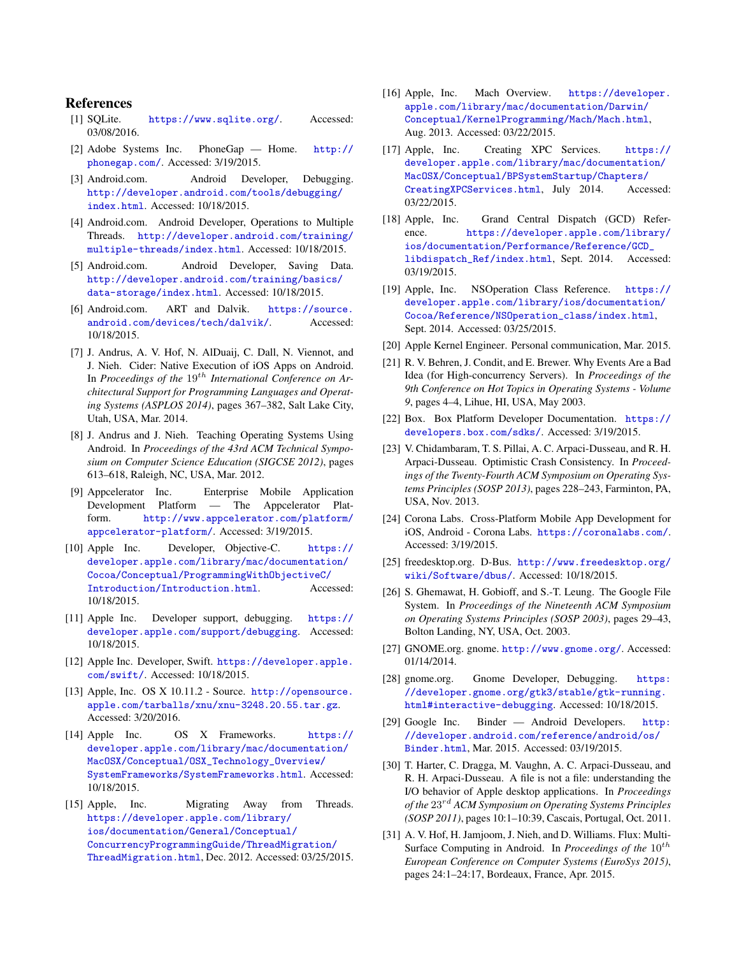## References

- <span id="page-14-7"></span>[1] SQLite. <https://www.sqlite.org/>. Accessed: 03/08/2016.
- <span id="page-14-0"></span>[2] Adobe Systems Inc. PhoneGap — Home. [http://](http://phonegap.com/) [phonegap.com/](http://phonegap.com/). Accessed: 3/19/2015.
- <span id="page-14-13"></span>[3] Android.com. Android Developer, Debugging. [http://developer.android.com/tools/debugging/](http://developer.android.com/tools/debugging/index.html) [index.html](http://developer.android.com/tools/debugging/index.html). Accessed: 10/18/2015.
- <span id="page-14-11"></span>[4] Android.com. Android Developer, Operations to Multiple Threads. [http://developer.android.com/training/](http://developer.android.com/training/multiple-threads/index.html) [multiple-threads/index.html](http://developer.android.com/training/multiple-threads/index.html). Accessed: 10/18/2015.
- <span id="page-14-12"></span>[5] Android.com. Android Developer, Saving Data. [http://developer.android.com/training/basics/](http://developer.android.com/training/basics/data-storage/index.html) [data-storage/index.html](http://developer.android.com/training/basics/data-storage/index.html). Accessed: 10/18/2015.
- <span id="page-14-16"></span>[6] Android.com. ART and Dalvik. [https://source.](https://source.android.com/devices/tech/dalvik/) [android.com/devices/tech/dalvik/](https://source.android.com/devices/tech/dalvik/). Accessed: 10/18/2015.
- <span id="page-14-8"></span>[7] J. Andrus, A. V. Hof, N. AlDuaij, C. Dall, N. Viennot, and J. Nieh. Cider: Native Execution of iOS Apps on Android. In *Proceedings of the*  $19^{th}$  *International Conference on Architectural Support for Programming Languages and Operating Systems (ASPLOS 2014)*, pages 367–382, Salt Lake City, Utah, USA, Mar. 2014.
- <span id="page-14-10"></span>[8] J. Andrus and J. Nieh. Teaching Operating Systems Using Android. In *Proceedings of the 43rd ACM Technical Symposium on Computer Science Education (SIGCSE 2012)*, pages 613–618, Raleigh, NC, USA, Mar. 2012.
- <span id="page-14-1"></span>[9] Appcelerator Inc. Enterprise Mobile Application Development Platform — The Appcelerator Platform. [http://www.appcelerator.com/platform/](http://www.appcelerator.com/platform/appcelerator-platform/) [appcelerator-platform/](http://www.appcelerator.com/platform/appcelerator-platform/). Accessed: 3/19/2015.
- <span id="page-14-18"></span>[10] Apple Inc. Developer, Objective-C. [https://](https://developer.apple.com/library/ mac/documentation/Cocoa/Conceptual/ProgrammingWithObjectiveC/Introduction/Introduction.html) [developer.apple.com/library/mac/documentation/](https://developer.apple.com/library/ mac/documentation/Cocoa/Conceptual/ProgrammingWithObjectiveC/Introduction/Introduction.html) [Cocoa/Conceptual/ProgrammingWithObjectiveC/](https://developer.apple.com/library/ mac/documentation/Cocoa/Conceptual/ProgrammingWithObjectiveC/Introduction/Introduction.html) [Introduction/Introduction.html](https://developer.apple.com/library/ mac/documentation/Cocoa/Conceptual/ProgrammingWithObjectiveC/Introduction/Introduction.html). Accessed: 10/18/2015.
- <span id="page-14-14"></span>[11] Apple Inc. Developer support, debugging. [https://](https://developer.apple.com/support/debugging) [developer.apple.com/support/debugging](https://developer.apple.com/support/debugging). Accessed: 10/18/2015.
- <span id="page-14-19"></span>[12] Apple Inc. Developer, Swift. [https://developer.apple.](https://developer.apple.com/swift/) [com/swift/](https://developer.apple.com/swift/). Accessed: 10/18/2015.
- <span id="page-14-22"></span>[13] Apple, Inc. OS X 10.11.2 - Source. [http://opensource.](http://opensource.apple.com/tarballs/xnu/xnu-3248.20.55.tar.gz) [apple.com/tarballs/xnu/xnu-3248.20.55.tar.gz](http://opensource.apple.com/tarballs/xnu/xnu-3248.20.55.tar.gz). Accessed: 3/20/2016.
- <span id="page-14-17"></span>[14] Apple Inc. OS X Frameworks. [https://](https://developer.apple.com/library/ mac/documentation/MacOSX/Conceptual/OSX_Technology_Overview/SystemFrameworks/SystemFrameworks.html) [developer.apple.com/library/mac/documentation/](https://developer.apple.com/library/ mac/documentation/MacOSX/Conceptual/OSX_Technology_Overview/SystemFrameworks/SystemFrameworks.html) [MacOSX/Conceptual/OSX\\_Technology\\_Overview/](https://developer.apple.com/library/ mac/documentation/MacOSX/Conceptual/OSX_Technology_Overview/SystemFrameworks/SystemFrameworks.html) [SystemFrameworks/SystemFrameworks.html](https://developer.apple.com/library/ mac/documentation/MacOSX/Conceptual/OSX_Technology_Overview/SystemFrameworks/SystemFrameworks.html). Accessed: 10/18/2015.
- <span id="page-14-27"></span>[15] Apple, Inc. Migrating Away from Threads. [https://developer.apple.com/library/](https://developer.apple.com/library/ios/documentation/General/Conceptual/ConcurrencyProgrammingGuide/ThreadMigration/ThreadMigration.html) [ios/documentation/General/Conceptual/](https://developer.apple.com/library/ios/documentation/General/Conceptual/ConcurrencyProgrammingGuide/ThreadMigration/ThreadMigration.html) [ConcurrencyProgrammingGuide/ThreadMigration/](https://developer.apple.com/library/ios/documentation/General/Conceptual/ConcurrencyProgrammingGuide/ThreadMigration/ThreadMigration.html) [ThreadMigration.html](https://developer.apple.com/library/ios/documentation/General/Conceptual/ConcurrencyProgrammingGuide/ThreadMigration/ThreadMigration.html), Dec. 2012. Accessed: 03/25/2015.
- <span id="page-14-20"></span>[16] Apple, Inc. Mach Overview. [https://developer.](https://developer.apple.com/library/mac/documentation/Darwin/Conceptual/KernelProgramming/Mach/Mach.html) [apple.com/library/mac/documentation/Darwin/](https://developer.apple.com/library/mac/documentation/Darwin/Conceptual/KernelProgramming/Mach/Mach.html) [Conceptual/KernelProgramming/Mach/Mach.html](https://developer.apple.com/library/mac/documentation/Darwin/Conceptual/KernelProgramming/Mach/Mach.html), Aug. 2013. Accessed: 03/22/2015.
- <span id="page-14-21"></span>[17] Apple, Inc. Creating XPC Services. [https://](https://developer.apple.com/library/mac/documentation/MacOSX/Conceptual/BPSystemStartup/Chapters/CreatingXPCServices.html) [developer.apple.com/library/mac/documentation/](https://developer.apple.com/library/mac/documentation/MacOSX/Conceptual/BPSystemStartup/Chapters/CreatingXPCServices.html) [MacOSX/Conceptual/BPSystemStartup/Chapters/](https://developer.apple.com/library/mac/documentation/MacOSX/Conceptual/BPSystemStartup/Chapters/CreatingXPCServices.html) [CreatingXPCServices.html](https://developer.apple.com/library/mac/documentation/MacOSX/Conceptual/BPSystemStartup/Chapters/CreatingXPCServices.html), July 2014. Accessed: 03/22/2015.
- <span id="page-14-4"></span>[18] Apple, Inc. Grand Central Dispatch (GCD) Reference. [https://developer.apple.com/library/](https://developer.apple.com/library/ios/documentation/Performance/Reference/GCD_libdispatch_Ref/index.html) [ios/documentation/Performance/Reference/GCD\\_](https://developer.apple.com/library/ios/documentation/Performance/Reference/GCD_libdispatch_Ref/index.html) [libdispatch\\_Ref/index.html](https://developer.apple.com/library/ios/documentation/Performance/Reference/GCD_libdispatch_Ref/index.html), Sept. 2014. Accessed: 03/19/2015.
- <span id="page-14-26"></span>[19] Apple, Inc. NSOperation Class Reference. [https://](https://developer.apple.com/library/ios/documentation/Cocoa/Reference/NSOperation_class/index.html) [developer.apple.com/library/ios/documentation/](https://developer.apple.com/library/ios/documentation/Cocoa/Reference/NSOperation_class/index.html) [Cocoa/Reference/NSOperation\\_class/index.html](https://developer.apple.com/library/ios/documentation/Cocoa/Reference/NSOperation_class/index.html), Sept. 2014. Accessed: 03/25/2015.
- <span id="page-14-25"></span>[20] Apple Kernel Engineer. Personal communication, Mar. 2015.
- <span id="page-14-23"></span>[21] R. V. Behren, J. Condit, and E. Brewer. Why Events Are a Bad Idea (for High-concurrency Servers). In *Proceedings of the 9th Conference on Hot Topics in Operating Systems - Volume 9*, pages 4–4, Lihue, HI, USA, May 2003.
- <span id="page-14-2"></span>[22] Box. Box Platform Developer Documentation. [https://](https://developers.box.com/sdks/) [developers.box.com/sdks/](https://developers.box.com/sdks/). Accessed: 3/19/2015.
- <span id="page-14-29"></span>[23] V. Chidambaram, T. S. Pillai, A. C. Arpaci-Dusseau, and R. H. Arpaci-Dusseau. Optimistic Crash Consistency. In *Proceedings of the Twenty-Fourth ACM Symposium on Operating Systems Principles (SOSP 2013)*, pages 228–243, Farminton, PA, USA, Nov. 2013.
- <span id="page-14-3"></span>[24] Corona Labs. Cross-Platform Mobile App Development for iOS, Android - Corona Labs. <https://coronalabs.com/>. Accessed: 3/19/2015.
- <span id="page-14-6"></span>[25] freedesktop.org. D-Bus. [http://www.freedesktop.org/](http://www.freedesktop.org/wiki/Software/dbus/) [wiki/Software/dbus/](http://www.freedesktop.org/wiki/Software/dbus/). Accessed: 10/18/2015.
- <span id="page-14-30"></span>[26] S. Ghemawat, H. Gobioff, and S.-T. Leung. The Google File System. In *Proceedings of the Nineteenth ACM Symposium on Operating Systems Principles (SOSP 2003)*, pages 29–43, Bolton Landing, NY, USA, Oct. 2003.
- <span id="page-14-24"></span>[27] GNOME.org. gnome. <http://www.gnome.org/>. Accessed: 01/14/2014.
- <span id="page-14-15"></span>[28] gnome.org. Gnome Developer, Debugging. [https:](https://developer.gnome.org/gtk3/stable/gtk-running.html#interactive-debugging) [//developer.gnome.org/gtk3/stable/gtk-running.](https://developer.gnome.org/gtk3/stable/gtk-running.html#interactive-debugging) [html#interactive-debugging](https://developer.gnome.org/gtk3/stable/gtk-running.html#interactive-debugging). Accessed: 10/18/2015.
- <span id="page-14-5"></span>[29] Google Inc. Binder — Android Developers. [http:](http://developer.android.com/reference/android/os/Binder.html) [//developer.android.com/reference/android/os/](http://developer.android.com/reference/android/os/Binder.html) [Binder.html](http://developer.android.com/reference/android/os/Binder.html), Mar. 2015. Accessed: 03/19/2015.
- <span id="page-14-9"></span>[30] T. Harter, C. Dragga, M. Vaughn, A. C. Arpaci-Dusseau, and R. H. Arpaci-Dusseau. A file is not a file: understanding the I/O behavior of Apple desktop applications. In *Proceedings of the* 23rd *ACM Symposium on Operating Systems Principles (SOSP 2011)*, pages 10:1–10:39, Cascais, Portugal, Oct. 2011.
- <span id="page-14-28"></span>[31] A. V. Hof, H. Jamjoom, J. Nieh, and D. Williams. Flux: Multi-Surface Computing in Android. In *Proceedings of the*  $10^{th}$ *European Conference on Computer Systems (EuroSys 2015)*, pages 24:1–24:17, Bordeaux, France, Apr. 2015.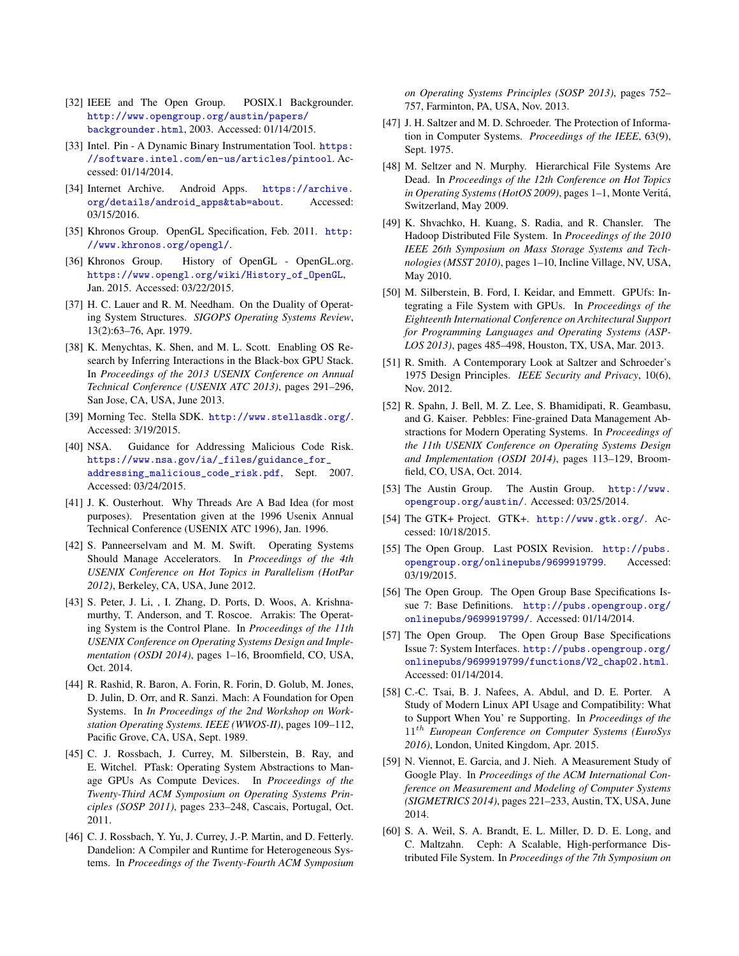- <span id="page-15-5"></span>[32] IEEE and The Open Group. POSIX.1 Backgrounder. [http://www.opengroup.org/austin/papers/](http://www.opengroup.org/austin/papers/backgrounder.html) [backgrounder.html](http://www.opengroup.org/austin/papers/backgrounder.html), 2003. Accessed: 01/14/2015.
- <span id="page-15-8"></span>[33] Intel. Pin - A Dynamic Binary Instrumentation Tool. [https:](https://software.intel.com/en-us/articles/pintool) [//software.intel.com/en-us/articles/pintool](https://software.intel.com/en-us/articles/pintool). Accessed: 01/14/2014.
- <span id="page-15-10"></span>[34] Internet Archive. Android Apps. [https://archive.](https://archive.org/details/android_apps&tab=about) [org/details/android\\_apps&tab=about](https://archive.org/details/android_apps&tab=about). Accessed: 03/15/2016.
- <span id="page-15-12"></span>[35] Khronos Group. OpenGL Specification, Feb. 2011. [http:](http://www.khronos.org/opengl/) [//www.khronos.org/opengl/](http://www.khronos.org/opengl/).
- <span id="page-15-13"></span>[36] Khronos Group. History of OpenGL - OpenGL.org. [https://www.opengl.org/wiki/History\\_of\\_OpenGL](https://www.opengl.org/wiki/History_of_OpenGL), Jan. 2015. Accessed: 03/22/2015.
- <span id="page-15-21"></span>[37] H. C. Lauer and R. M. Needham. On the Duality of Operating System Structures. *SIGOPS Operating Systems Review*, 13(2):63–76, Apr. 1979.
- <span id="page-15-14"></span>[38] K. Menychtas, K. Shen, and M. L. Scott. Enabling OS Research by Inferring Interactions in the Black-box GPU Stack. In *Proceedings of the 2013 USENIX Conference on Annual Technical Conference (USENIX ATC 2013)*, pages 291–296, San Jose, CA, USA, June 2013.
- <span id="page-15-1"></span>[39] Morning Tec. Stella SDK. <http://www.stellasdk.org/>. Accessed: 3/19/2015.
- <span id="page-15-23"></span>[40] NSA. Guidance for Addressing Malicious Code Risk. [https://www.nsa.gov/ia/\\_files/guidance\\_for\\_](https://www.nsa.gov/ia/_files/guidance_for_addressing_malicious_code_risk.pdf) [addressing\\_malicious\\_code\\_risk.pdf](https://www.nsa.gov/ia/_files/guidance_for_addressing_malicious_code_risk.pdf), Sept. 2007. Accessed: 03/24/2015.
- <span id="page-15-22"></span>[41] J. K. Ousterhout. Why Threads Are A Bad Idea (for most purposes). Presentation given at the 1996 Usenix Annual Technical Conference (USENIX ATC 1996), Jan. 1996.
- <span id="page-15-15"></span>[42] S. Panneerselvam and M. M. Swift. Operating Systems Should Manage Accelerators. In *Proceedings of the 4th USENIX Conference on Hot Topics in Parallelism (HotPar 2012)*, Berkeley, CA, USA, June 2012.
- <span id="page-15-26"></span>[43] S. Peter, J. Li, , I. Zhang, D. Ports, D. Woos, A. Krishnamurthy, T. Anderson, and T. Roscoe. Arrakis: The Operating System is the Control Plane. In *Proceedings of the 11th USENIX Conference on Operating Systems Design and Implementation (OSDI 2014)*, pages 1–16, Broomfield, CO, USA, Oct. 2014.
- <span id="page-15-19"></span>[44] R. Rashid, R. Baron, A. Forin, R. Forin, D. Golub, M. Jones, D. Julin, D. Orr, and R. Sanzi. Mach: A Foundation for Open Systems. In *In Proceedings of the 2nd Workshop on Workstation Operating Systems. IEEE (WWOS-II)*, pages 109–112, Pacific Grove, CA, USA, Sept. 1989.
- <span id="page-15-16"></span>[45] C. J. Rossbach, J. Currey, M. Silberstein, B. Ray, and E. Witchel. PTask: Operating System Abstractions to Manage GPUs As Compute Devices. In *Proceedings of the Twenty-Third ACM Symposium on Operating Systems Principles (SOSP 2011)*, pages 233–248, Cascais, Portugal, Oct. 2011.
- <span id="page-15-17"></span>[46] C. J. Rossbach, Y. Yu, J. Currey, J.-P. Martin, and D. Fetterly. Dandelion: A Compiler and Runtime for Heterogeneous Systems. In *Proceedings of the Twenty-Fourth ACM Symposium*

*on Operating Systems Principles (SOSP 2013)*, pages 752– 757, Farminton, PA, USA, Nov. 2013.

- <span id="page-15-24"></span>[47] J. H. Saltzer and M. D. Schroeder. The Protection of Information in Computer Systems. *Proceedings of the IEEE*, 63(9), Sept. 1975.
- <span id="page-15-20"></span>[48] M. Seltzer and N. Murphy. Hierarchical File Systems Are Dead. In *Proceedings of the 12th Conference on Hot Topics in Operating Systems (HotOS 2009)*, pages 1–1, Monte Verita,´ Switzerland, May 2009.
- <span id="page-15-28"></span>[49] K. Shvachko, H. Kuang, S. Radia, and R. Chansler. The Hadoop Distributed File System. In *Proceedings of the 2010 IEEE 26th Symposium on Mass Storage Systems and Technologies (MSST 2010)*, pages 1–10, Incline Village, NV, USA, May 2010.
- <span id="page-15-18"></span>[50] M. Silberstein, B. Ford, I. Keidar, and Emmett. GPUfs: Integrating a File System with GPUs. In *Proceedings of the Eighteenth International Conference on Architectural Support for Programming Languages and Operating Systems (ASP-LOS 2013)*, pages 485–498, Houston, TX, USA, Mar. 2013.
- <span id="page-15-25"></span>[51] R. Smith. A Contemporary Look at Saltzer and Schroeder's 1975 Design Principles. *IEEE Security and Privacy*, 10(6), Nov. 2012.
- <span id="page-15-2"></span>[52] R. Spahn, J. Bell, M. Z. Lee, S. Bhamidipati, R. Geambasu, and G. Kaiser. Pebbles: Fine-grained Data Management Abstractions for Modern Operating Systems. In *Proceedings of the 11th USENIX Conference on Operating Systems Design and Implementation (OSDI 2014)*, pages 113–129, Broomfield, CO, USA, Oct. 2014.
- <span id="page-15-4"></span>[53] The Austin Group. The Austin Group. [http://www.](http://www.opengroup.org/austin/) [opengroup.org/austin/](http://www.opengroup.org/austin/). Accessed: 03/25/2014.
- <span id="page-15-11"></span>[54] The GTK+ Project. GTK+. <http://www.gtk.org/>. Accessed: 10/18/2015.
- <span id="page-15-0"></span>[55] The Open Group. Last POSIX Revision. [http://pubs.](http://pubs.opengroup.org/onlinepubs/9699919799) [opengroup.org/onlinepubs/9699919799](http://pubs.opengroup.org/onlinepubs/9699919799). Accessed: 03/19/2015.
- <span id="page-15-6"></span>[56] The Open Group. The Open Group Base Specifications Issue 7: Base Definitions. [http://pubs.opengroup.org/](http://pubs.opengroup.org/onlinepubs/9699919799/) [onlinepubs/9699919799/](http://pubs.opengroup.org/onlinepubs/9699919799/). Accessed: 01/14/2014.
- <span id="page-15-7"></span>[57] The Open Group. The Open Group Base Specifications Issue 7: System Interfaces. [http://pubs.opengroup.org/](http://pubs.opengroup.org/onlinepubs/9699919799/functions/V2_chap02.html) [onlinepubs/9699919799/functions/V2\\_chap02.html](http://pubs.opengroup.org/onlinepubs/9699919799/functions/V2_chap02.html). Accessed: 01/14/2014.
- <span id="page-15-3"></span>[58] C.-C. Tsai, B. J. Nafees, A. Abdul, and D. E. Porter. A Study of Modern Linux API Usage and Compatibility: What to Support When You' re Supporting. In *Proceedings of the* 11th *European Conference on Computer Systems (EuroSys 2016)*, London, United Kingdom, Apr. 2015.
- <span id="page-15-9"></span>[59] N. Viennot, E. Garcia, and J. Nieh. A Measurement Study of Google Play. In *Proceedings of the ACM International Conference on Measurement and Modeling of Computer Systems (SIGMETRICS 2014)*, pages 221–233, Austin, TX, USA, June 2014.
- <span id="page-15-27"></span>[60] S. A. Weil, S. A. Brandt, E. L. Miller, D. D. E. Long, and C. Maltzahn. Ceph: A Scalable, High-performance Distributed File System. In *Proceedings of the 7th Symposium on*